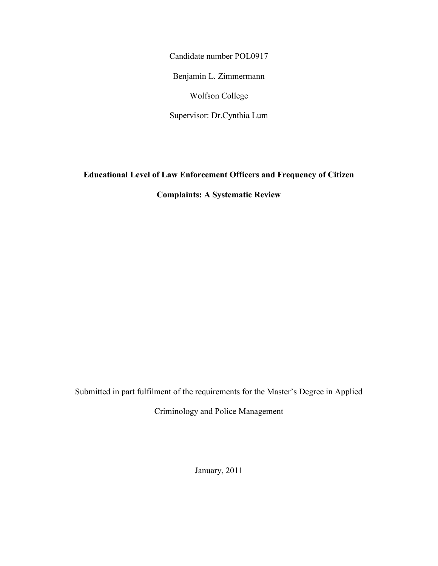Candidate number POL0917

Benjamin L. Zimmermann

Wolfson College

Supervisor: Dr.Cynthia Lum

**Educational Level of Law Enforcement Officers and Frequency of Citizen** 

**Complaints: A Systematic Review** 

Submitted in part fulfilment of the requirements for the Master's Degree in Applied

Criminology and Police Management

January, 2011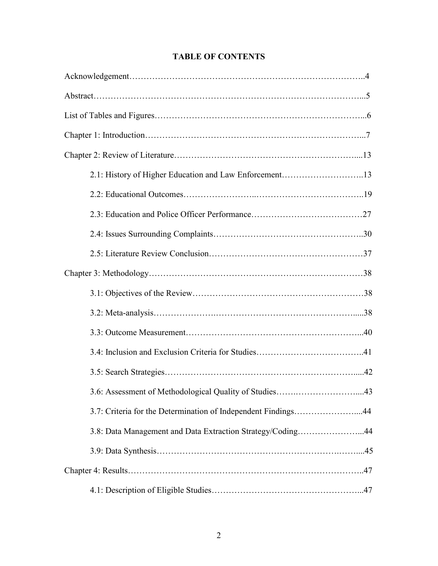| 2.1: History of Higher Education and Law Enforcement13        |
|---------------------------------------------------------------|
|                                                               |
|                                                               |
|                                                               |
|                                                               |
|                                                               |
|                                                               |
|                                                               |
|                                                               |
|                                                               |
|                                                               |
|                                                               |
| 3.7: Criteria for the Determination of Independent Findings44 |
| 3.8: Data Management and Data Extraction Strategy/Coding44    |
|                                                               |
|                                                               |
|                                                               |

## **TABLE OF CONTENTS**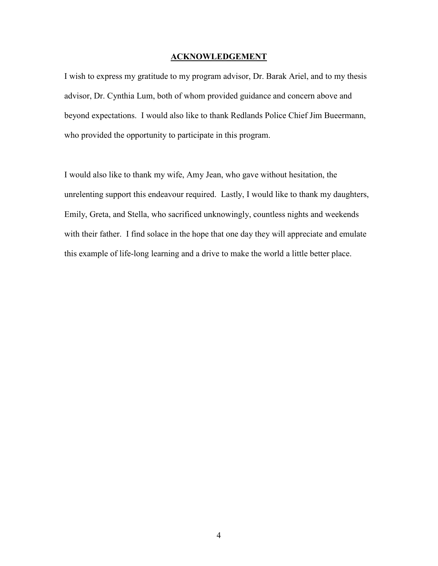### **ACKNOWLEDGEMENT**

I wish to express my gratitude to my program advisor, Dr. Barak Ariel, and to my thesis advisor, Dr. Cynthia Lum, both of whom provided guidance and concern above and beyond expectations. I would also like to thank Redlands Police Chief Jim Bueermann, who provided the opportunity to participate in this program.

I would also like to thank my wife, Amy Jean, who gave without hesitation, the unrelenting support this endeavour required. Lastly, I would like to thank my daughters, Emily, Greta, and Stella, who sacrificed unknowingly, countless nights and weekends with their father. I find solace in the hope that one day they will appreciate and emulate this example of life-long learning and a drive to make the world a little better place.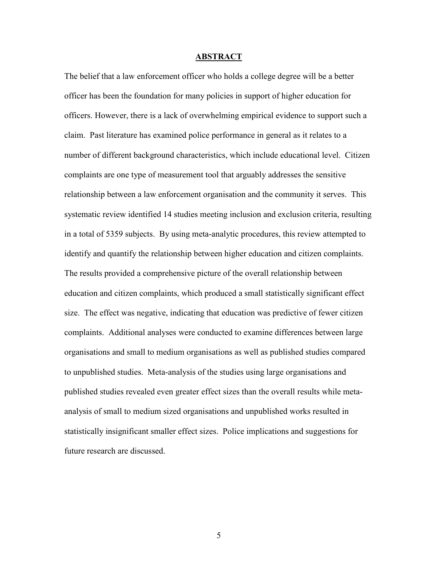#### **ABSTRACT**

The belief that a law enforcement officer who holds a college degree will be a better officer has been the foundation for many policies in support of higher education for officers. However, there is a lack of overwhelming empirical evidence to support such a claim. Past literature has examined police performance in general as it relates to a number of different background characteristics, which include educational level. Citizen complaints are one type of measurement tool that arguably addresses the sensitive relationship between a law enforcement organisation and the community it serves. This systematic review identified 14 studies meeting inclusion and exclusion criteria, resulting in a total of 5359 subjects. By using meta-analytic procedures, this review attempted to identify and quantify the relationship between higher education and citizen complaints. The results provided a comprehensive picture of the overall relationship between education and citizen complaints, which produced a small statistically significant effect size. The effect was negative, indicating that education was predictive of fewer citizen complaints. Additional analyses were conducted to examine differences between large organisations and small to medium organisations as well as published studies compared to unpublished studies. Meta-analysis of the studies using large organisations and published studies revealed even greater effect sizes than the overall results while metaanalysis of small to medium sized organisations and unpublished works resulted in statistically insignificant smaller effect sizes. Police implications and suggestions for future research are discussed.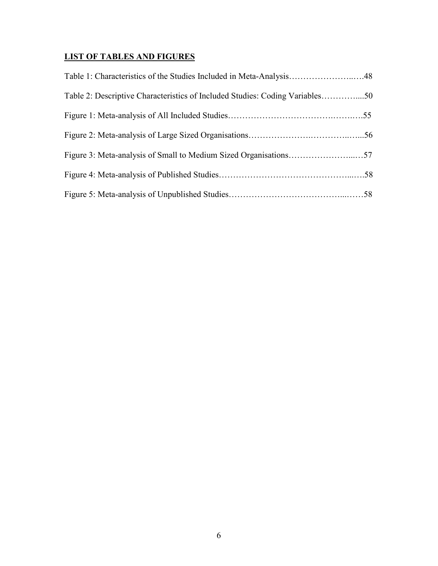# **LIST OF TABLES AND FIGURES**

| Table 1: Characteristics of the Studies Included in Meta-Analysis48          |  |
|------------------------------------------------------------------------------|--|
| Table 2: Descriptive Characteristics of Included Studies: Coding Variables50 |  |
|                                                                              |  |
|                                                                              |  |
|                                                                              |  |
|                                                                              |  |
|                                                                              |  |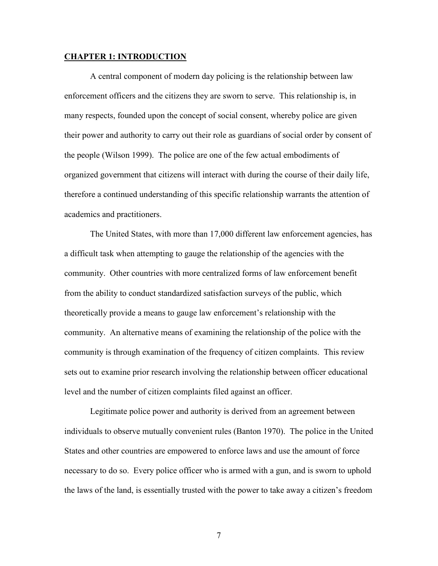#### **CHAPTER 1: INTRODUCTION**

A central component of modern day policing is the relationship between law enforcement officers and the citizens they are sworn to serve. This relationship is, in many respects, founded upon the concept of social consent, whereby police are given their power and authority to carry out their role as guardians of social order by consent of the people (Wilson 1999). The police are one of the few actual embodiments of organized government that citizens will interact with during the course of their daily life, therefore a continued understanding of this specific relationship warrants the attention of academics and practitioners.

The United States, with more than 17,000 different law enforcement agencies, has a difficult task when attempting to gauge the relationship of the agencies with the community. Other countries with more centralized forms of law enforcement benefit from the ability to conduct standardized satisfaction surveys of the public, which theoretically provide a means to gauge law enforcement's relationship with the community. An alternative means of examining the relationship of the police with the community is through examination of the frequency of citizen complaints. This review sets out to examine prior research involving the relationship between officer educational level and the number of citizen complaints filed against an officer.

Legitimate police power and authority is derived from an agreement between individuals to observe mutually convenient rules (Banton 1970). The police in the United States and other countries are empowered to enforce laws and use the amount of force necessary to do so. Every police officer who is armed with a gun, and is sworn to uphold the laws of the land, is essentially trusted with the power to take away a citizen's freedom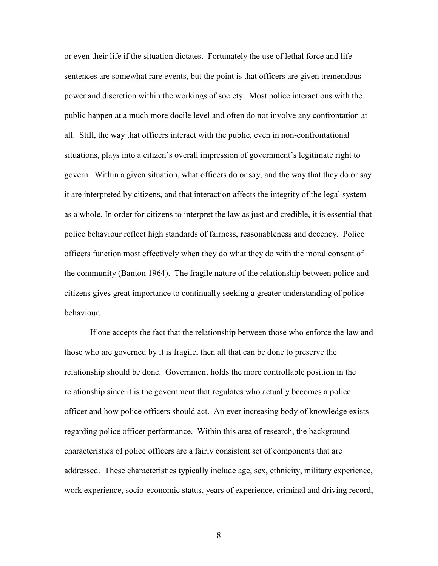or even their life if the situation dictates. Fortunately the use of lethal force and life sentences are somewhat rare events, but the point is that officers are given tremendous power and discretion within the workings of society. Most police interactions with the public happen at a much more docile level and often do not involve any confrontation at all. Still, the way that officers interact with the public, even in non-confrontational situations, plays into a citizen's overall impression of government's legitimate right to govern. Within a given situation, what officers do or say, and the way that they do or say it are interpreted by citizens, and that interaction affects the integrity of the legal system as a whole. In order for citizens to interpret the law as just and credible, it is essential that police behaviour reflect high standards of fairness, reasonableness and decency. Police officers function most effectively when they do what they do with the moral consent of the community (Banton 1964). The fragile nature of the relationship between police and citizens gives great importance to continually seeking a greater understanding of police behaviour.

 If one accepts the fact that the relationship between those who enforce the law and those who are governed by it is fragile, then all that can be done to preserve the relationship should be done. Government holds the more controllable position in the relationship since it is the government that regulates who actually becomes a police officer and how police officers should act. An ever increasing body of knowledge exists regarding police officer performance. Within this area of research, the background characteristics of police officers are a fairly consistent set of components that are addressed. These characteristics typically include age, sex, ethnicity, military experience, work experience, socio-economic status, years of experience, criminal and driving record,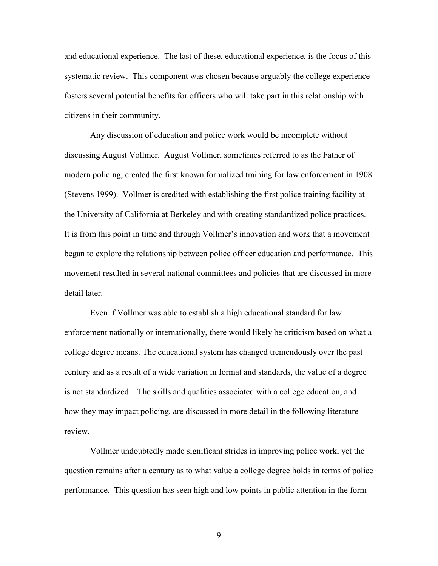and educational experience. The last of these, educational experience, is the focus of this systematic review. This component was chosen because arguably the college experience fosters several potential benefits for officers who will take part in this relationship with citizens in their community.

Any discussion of education and police work would be incomplete without discussing August Vollmer. August Vollmer, sometimes referred to as the Father of modern policing, created the first known formalized training for law enforcement in 1908 (Stevens 1999). Vollmer is credited with establishing the first police training facility at the University of California at Berkeley and with creating standardized police practices. It is from this point in time and through Vollmer's innovation and work that a movement began to explore the relationship between police officer education and performance. This movement resulted in several national committees and policies that are discussed in more detail later.

Even if Vollmer was able to establish a high educational standard for law enforcement nationally or internationally, there would likely be criticism based on what a college degree means. The educational system has changed tremendously over the past century and as a result of a wide variation in format and standards, the value of a degree is not standardized. The skills and qualities associated with a college education, and how they may impact policing, are discussed in more detail in the following literature review.

Vollmer undoubtedly made significant strides in improving police work, yet the question remains after a century as to what value a college degree holds in terms of police performance. This question has seen high and low points in public attention in the form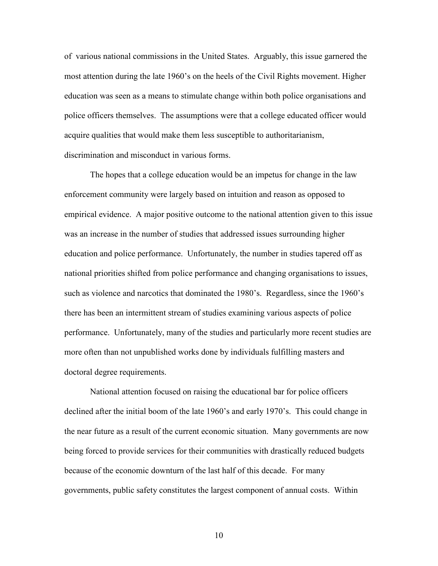of various national commissions in the United States. Arguably, this issue garnered the most attention during the late 1960's on the heels of the Civil Rights movement. Higher education was seen as a means to stimulate change within both police organisations and police officers themselves. The assumptions were that a college educated officer would acquire qualities that would make them less susceptible to authoritarianism, discrimination and misconduct in various forms.

The hopes that a college education would be an impetus for change in the law enforcement community were largely based on intuition and reason as opposed to empirical evidence. A major positive outcome to the national attention given to this issue was an increase in the number of studies that addressed issues surrounding higher education and police performance. Unfortunately, the number in studies tapered off as national priorities shifted from police performance and changing organisations to issues, such as violence and narcotics that dominated the 1980's. Regardless, since the 1960's there has been an intermittent stream of studies examining various aspects of police performance. Unfortunately, many of the studies and particularly more recent studies are more often than not unpublished works done by individuals fulfilling masters and doctoral degree requirements.

National attention focused on raising the educational bar for police officers declined after the initial boom of the late 1960's and early 1970's. This could change in the near future as a result of the current economic situation. Many governments are now being forced to provide services for their communities with drastically reduced budgets because of the economic downturn of the last half of this decade. For many governments, public safety constitutes the largest component of annual costs. Within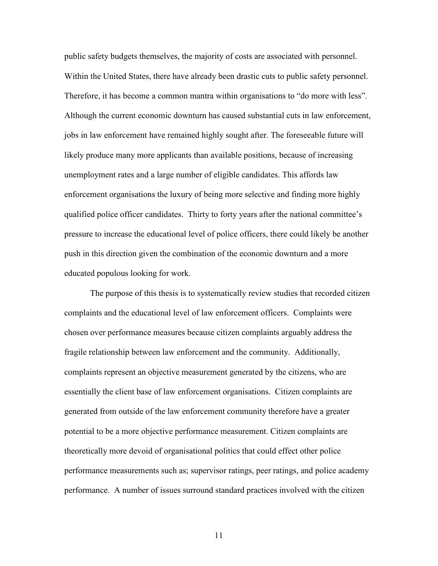public safety budgets themselves, the majority of costs are associated with personnel. Within the United States, there have already been drastic cuts to public safety personnel. Therefore, it has become a common mantra within organisations to "do more with less". Although the current economic downturn has caused substantial cuts in law enforcement, jobs in law enforcement have remained highly sought after. The foreseeable future will likely produce many more applicants than available positions, because of increasing unemployment rates and a large number of eligible candidates. This affords law enforcement organisations the luxury of being more selective and finding more highly qualified police officer candidates. Thirty to forty years after the national committee's pressure to increase the educational level of police officers, there could likely be another push in this direction given the combination of the economic downturn and a more educated populous looking for work.

The purpose of this thesis is to systematically review studies that recorded citizen complaints and the educational level of law enforcement officers. Complaints were chosen over performance measures because citizen complaints arguably address the fragile relationship between law enforcement and the community. Additionally, complaints represent an objective measurement generated by the citizens, who are essentially the client base of law enforcement organisations. Citizen complaints are generated from outside of the law enforcement community therefore have a greater potential to be a more objective performance measurement. Citizen complaints are theoretically more devoid of organisational politics that could effect other police performance measurements such as; supervisor ratings, peer ratings, and police academy performance. A number of issues surround standard practices involved with the citizen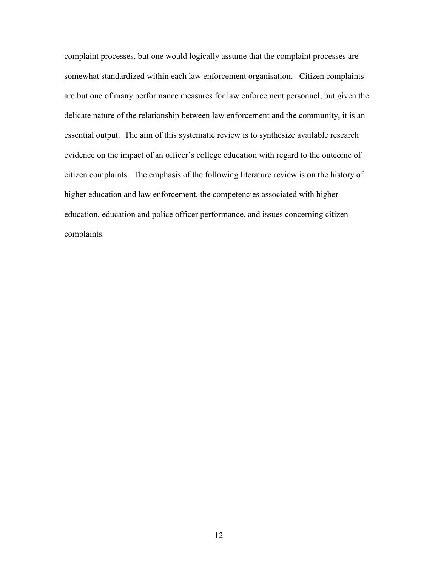complaint processes, but one would logically assume that the complaint processes are somewhat standardized within each law enforcement organisation. Citizen complaints are but one of many performance measures for law enforcement personnel, but given the delicate nature of the relationship between law enforcement and the community, it is an essential output. The aim of this systematic review is to synthesize available research evidence on the impact of an officer's college education with regard to the outcome of citizen complaints. The emphasis of the following literature review is on the history of higher education and law enforcement, the competencies associated with higher education, education and police officer performance, and issues concerning citizen complaints.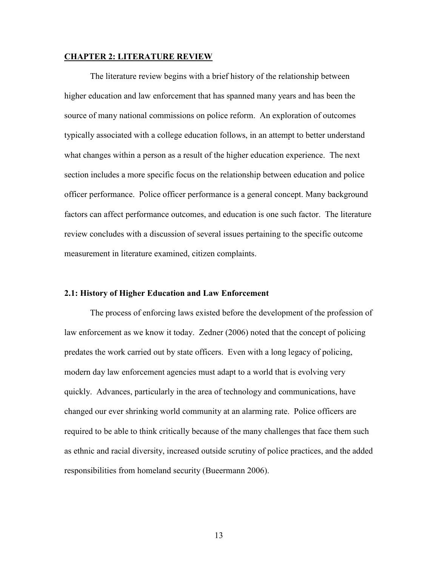#### **CHAPTER 2: LITERATURE REVIEW**

The literature review begins with a brief history of the relationship between higher education and law enforcement that has spanned many years and has been the source of many national commissions on police reform. An exploration of outcomes typically associated with a college education follows, in an attempt to better understand what changes within a person as a result of the higher education experience. The next section includes a more specific focus on the relationship between education and police officer performance. Police officer performance is a general concept. Many background factors can affect performance outcomes, and education is one such factor. The literature review concludes with a discussion of several issues pertaining to the specific outcome measurement in literature examined, citizen complaints.

#### **2.1: History of Higher Education and Law Enforcement**

The process of enforcing laws existed before the development of the profession of law enforcement as we know it today. Zedner (2006) noted that the concept of policing predates the work carried out by state officers. Even with a long legacy of policing, modern day law enforcement agencies must adapt to a world that is evolving very quickly. Advances, particularly in the area of technology and communications, have changed our ever shrinking world community at an alarming rate. Police officers are required to be able to think critically because of the many challenges that face them such as ethnic and racial diversity, increased outside scrutiny of police practices, and the added responsibilities from homeland security (Bueermann 2006).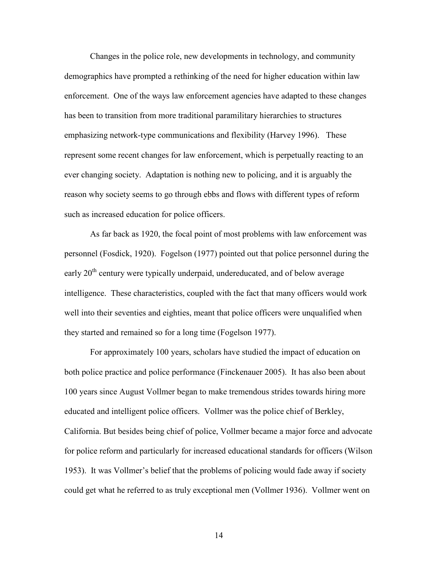Changes in the police role, new developments in technology, and community demographics have prompted a rethinking of the need for higher education within law enforcement. One of the ways law enforcement agencies have adapted to these changes has been to transition from more traditional paramilitary hierarchies to structures emphasizing network-type communications and flexibility (Harvey 1996). These represent some recent changes for law enforcement, which is perpetually reacting to an ever changing society. Adaptation is nothing new to policing, and it is arguably the reason why society seems to go through ebbs and flows with different types of reform such as increased education for police officers.

As far back as 1920, the focal point of most problems with law enforcement was personnel (Fosdick, 1920). Fogelson (1977) pointed out that police personnel during the early 20<sup>th</sup> century were typically underpaid, undereducated, and of below average intelligence. These characteristics, coupled with the fact that many officers would work well into their seventies and eighties, meant that police officers were unqualified when they started and remained so for a long time (Fogelson 1977).

For approximately 100 years, scholars have studied the impact of education on both police practice and police performance (Finckenauer 2005). It has also been about 100 years since August Vollmer began to make tremendous strides towards hiring more educated and intelligent police officers. Vollmer was the police chief of Berkley, California. But besides being chief of police, Vollmer became a major force and advocate for police reform and particularly for increased educational standards for officers (Wilson 1953). It was Vollmer's belief that the problems of policing would fade away if society could get what he referred to as truly exceptional men (Vollmer 1936). Vollmer went on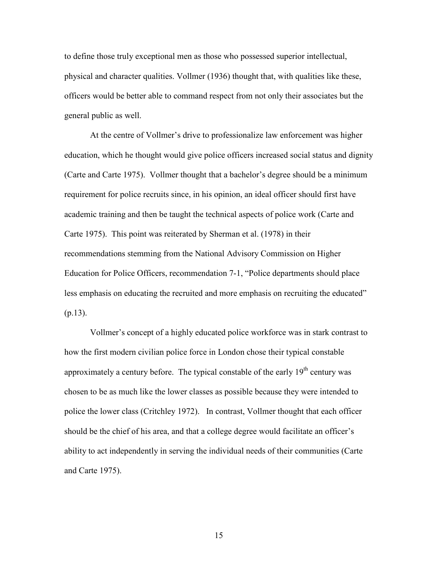to define those truly exceptional men as those who possessed superior intellectual, physical and character qualities. Vollmer (1936) thought that, with qualities like these, officers would be better able to command respect from not only their associates but the general public as well.

At the centre of Vollmer's drive to professionalize law enforcement was higher education, which he thought would give police officers increased social status and dignity (Carte and Carte 1975). Vollmer thought that a bachelor's degree should be a minimum requirement for police recruits since, in his opinion, an ideal officer should first have academic training and then be taught the technical aspects of police work (Carte and Carte 1975). This point was reiterated by Sherman et al. (1978) in their recommendations stemming from the National Advisory Commission on Higher Education for Police Officers, recommendation 7-1, "Police departments should place less emphasis on educating the recruited and more emphasis on recruiting the educated"  $(p.13)$ .

Vollmer's concept of a highly educated police workforce was in stark contrast to how the first modern civilian police force in London chose their typical constable approximately a century before. The typical constable of the early 19<sup>th</sup> century was chosen to be as much like the lower classes as possible because they were intended to police the lower class (Critchley 1972). In contrast, Vollmer thought that each officer should be the chief of his area, and that a college degree would facilitate an officer's ability to act independently in serving the individual needs of their communities (Carte and Carte 1975).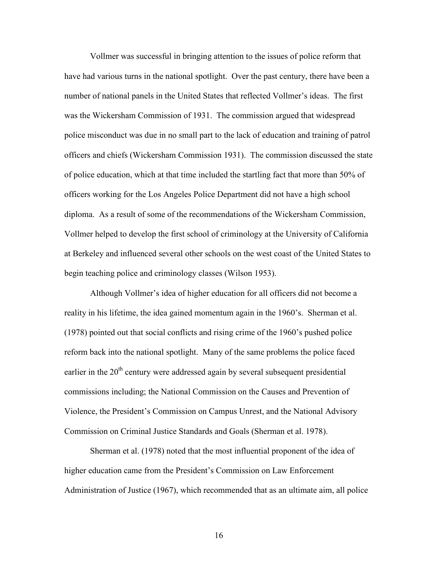Vollmer was successful in bringing attention to the issues of police reform that have had various turns in the national spotlight. Over the past century, there have been a number of national panels in the United States that reflected Vollmer's ideas. The first was the Wickersham Commission of 1931. The commission argued that widespread police misconduct was due in no small part to the lack of education and training of patrol officers and chiefs (Wickersham Commission 1931). The commission discussed the state of police education, which at that time included the startling fact that more than 50% of officers working for the Los Angeles Police Department did not have a high school diploma. As a result of some of the recommendations of the Wickersham Commission, Vollmer helped to develop the first school of criminology at the University of California at Berkeley and influenced several other schools on the west coast of the United States to begin teaching police and criminology classes (Wilson 1953).

Although Vollmer's idea of higher education for all officers did not become a reality in his lifetime, the idea gained momentum again in the 1960's. Sherman et al. (1978) pointed out that social conflicts and rising crime of the 1960's pushed police reform back into the national spotlight. Many of the same problems the police faced earlier in the 20<sup>th</sup> century were addressed again by several subsequent presidential commissions including; the National Commission on the Causes and Prevention of Violence, the President's Commission on Campus Unrest, and the National Advisory Commission on Criminal Justice Standards and Goals (Sherman et al. 1978).

Sherman et al. (1978) noted that the most influential proponent of the idea of higher education came from the President's Commission on Law Enforcement Administration of Justice (1967), which recommended that as an ultimate aim, all police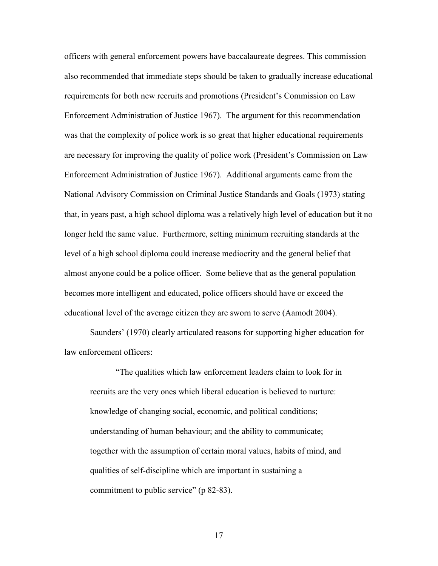officers with general enforcement powers have baccalaureate degrees. This commission also recommended that immediate steps should be taken to gradually increase educational requirements for both new recruits and promotions (President's Commission on Law Enforcement Administration of Justice 1967). The argument for this recommendation was that the complexity of police work is so great that higher educational requirements are necessary for improving the quality of police work (President's Commission on Law Enforcement Administration of Justice 1967). Additional arguments came from the National Advisory Commission on Criminal Justice Standards and Goals (1973) stating that, in years past, a high school diploma was a relatively high level of education but it no longer held the same value. Furthermore, setting minimum recruiting standards at the level of a high school diploma could increase mediocrity and the general belief that almost anyone could be a police officer. Some believe that as the general population becomes more intelligent and educated, police officers should have or exceed the educational level of the average citizen they are sworn to serve (Aamodt 2004).

Saunders' (1970) clearly articulated reasons for supporting higher education for law enforcement officers:

"The qualities which law enforcement leaders claim to look for in recruits are the very ones which liberal education is believed to nurture: knowledge of changing social, economic, and political conditions; understanding of human behaviour; and the ability to communicate; together with the assumption of certain moral values, habits of mind, and qualities of self-discipline which are important in sustaining a commitment to public service" (p 82-83).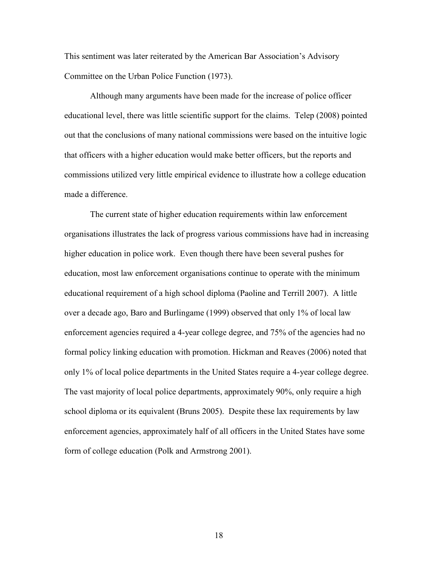This sentiment was later reiterated by the American Bar Association's Advisory Committee on the Urban Police Function (1973).

Although many arguments have been made for the increase of police officer educational level, there was little scientific support for the claims. Telep (2008) pointed out that the conclusions of many national commissions were based on the intuitive logic that officers with a higher education would make better officers, but the reports and commissions utilized very little empirical evidence to illustrate how a college education made a difference.

The current state of higher education requirements within law enforcement organisations illustrates the lack of progress various commissions have had in increasing higher education in police work. Even though there have been several pushes for education, most law enforcement organisations continue to operate with the minimum educational requirement of a high school diploma (Paoline and Terrill 2007). A little over a decade ago, Baro and Burlingame (1999) observed that only 1% of local law enforcement agencies required a 4-year college degree, and 75% of the agencies had no formal policy linking education with promotion. Hickman and Reaves (2006) noted that only 1% of local police departments in the United States require a 4-year college degree. The vast majority of local police departments, approximately 90%, only require a high school diploma or its equivalent (Bruns 2005). Despite these lax requirements by law enforcement agencies, approximately half of all officers in the United States have some form of college education (Polk and Armstrong 2001).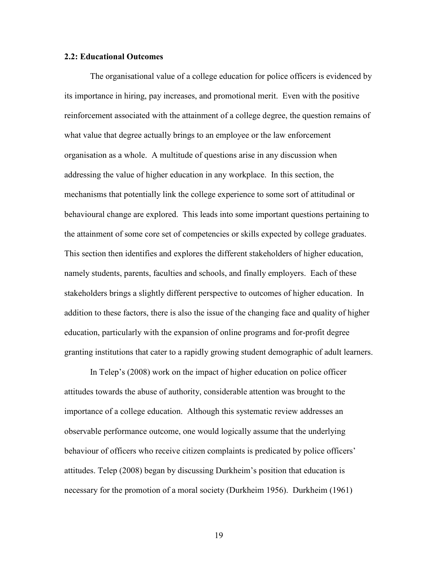#### **2.2: Educational Outcomes**

The organisational value of a college education for police officers is evidenced by its importance in hiring, pay increases, and promotional merit. Even with the positive reinforcement associated with the attainment of a college degree, the question remains of what value that degree actually brings to an employee or the law enforcement organisation as a whole. A multitude of questions arise in any discussion when addressing the value of higher education in any workplace. In this section, the mechanisms that potentially link the college experience to some sort of attitudinal or behavioural change are explored. This leads into some important questions pertaining to the attainment of some core set of competencies or skills expected by college graduates. This section then identifies and explores the different stakeholders of higher education, namely students, parents, faculties and schools, and finally employers. Each of these stakeholders brings a slightly different perspective to outcomes of higher education. In addition to these factors, there is also the issue of the changing face and quality of higher education, particularly with the expansion of online programs and for-profit degree granting institutions that cater to a rapidly growing student demographic of adult learners.

In Telep's (2008) work on the impact of higher education on police officer attitudes towards the abuse of authority, considerable attention was brought to the importance of a college education. Although this systematic review addresses an observable performance outcome, one would logically assume that the underlying behaviour of officers who receive citizen complaints is predicated by police officers' attitudes. Telep (2008) began by discussing Durkheim's position that education is necessary for the promotion of a moral society (Durkheim 1956). Durkheim (1961)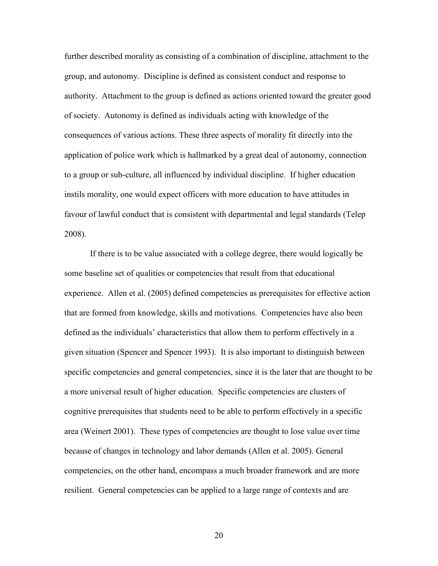further described morality as consisting of a combination of discipline, attachment to the group, and autonomy. Discipline is defined as consistent conduct and response to authority. Attachment to the group is defined as actions oriented toward the greater good of society. Autonomy is defined as individuals acting with knowledge of the consequences of various actions. These three aspects of morality fit directly into the application of police work which is hallmarked by a great deal of autonomy, connection to a group or sub-culture, all influenced by individual discipline. If higher education instils morality, one would expect officers with more education to have attitudes in favour of lawful conduct that is consistent with departmental and legal standards (Telep 2008).

If there is to be value associated with a college degree, there would logically be some baseline set of qualities or competencies that result from that educational experience. Allen et al. (2005) defined competencies as prerequisites for effective action that are formed from knowledge, skills and motivations. Competencies have also been defined as the individuals' characteristics that allow them to perform effectively in a given situation (Spencer and Spencer 1993). It is also important to distinguish between specific competencies and general competencies, since it is the later that are thought to be a more universal result of higher education. Specific competencies are clusters of cognitive prerequisites that students need to be able to perform effectively in a specific area (Weinert 2001). These types of competencies are thought to lose value over time because of changes in technology and labor demands (Allen et al. 2005). General competencies, on the other hand, encompass a much broader framework and are more resilient. General competencies can be applied to a large range of contexts and are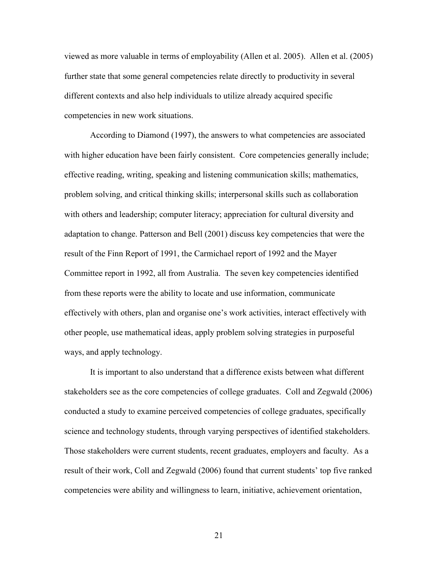viewed as more valuable in terms of employability (Allen et al. 2005). Allen et al. (2005) further state that some general competencies relate directly to productivity in several different contexts and also help individuals to utilize already acquired specific competencies in new work situations.

According to Diamond (1997), the answers to what competencies are associated with higher education have been fairly consistent. Core competencies generally include; effective reading, writing, speaking and listening communication skills; mathematics, problem solving, and critical thinking skills; interpersonal skills such as collaboration with others and leadership; computer literacy; appreciation for cultural diversity and adaptation to change. Patterson and Bell (2001) discuss key competencies that were the result of the Finn Report of 1991, the Carmichael report of 1992 and the Mayer Committee report in 1992, all from Australia. The seven key competencies identified from these reports were the ability to locate and use information, communicate effectively with others, plan and organise one's work activities, interact effectively with other people, use mathematical ideas, apply problem solving strategies in purposeful ways, and apply technology.

It is important to also understand that a difference exists between what different stakeholders see as the core competencies of college graduates. Coll and Zegwald (2006) conducted a study to examine perceived competencies of college graduates, specifically science and technology students, through varying perspectives of identified stakeholders. Those stakeholders were current students, recent graduates, employers and faculty. As a result of their work, Coll and Zegwald (2006) found that current students' top five ranked competencies were ability and willingness to learn, initiative, achievement orientation,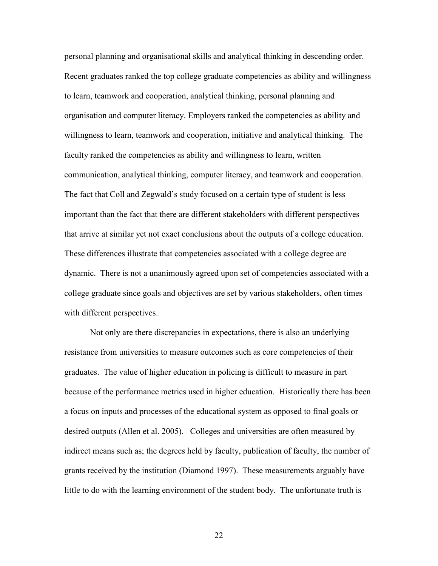personal planning and organisational skills and analytical thinking in descending order. Recent graduates ranked the top college graduate competencies as ability and willingness to learn, teamwork and cooperation, analytical thinking, personal planning and organisation and computer literacy. Employers ranked the competencies as ability and willingness to learn, teamwork and cooperation, initiative and analytical thinking. The faculty ranked the competencies as ability and willingness to learn, written communication, analytical thinking, computer literacy, and teamwork and cooperation. The fact that Coll and Zegwald's study focused on a certain type of student is less important than the fact that there are different stakeholders with different perspectives that arrive at similar yet not exact conclusions about the outputs of a college education. These differences illustrate that competencies associated with a college degree are dynamic. There is not a unanimously agreed upon set of competencies associated with a college graduate since goals and objectives are set by various stakeholders, often times with different perspectives.

Not only are there discrepancies in expectations, there is also an underlying resistance from universities to measure outcomes such as core competencies of their graduates. The value of higher education in policing is difficult to measure in part because of the performance metrics used in higher education. Historically there has been a focus on inputs and processes of the educational system as opposed to final goals or desired outputs (Allen et al. 2005). Colleges and universities are often measured by indirect means such as; the degrees held by faculty, publication of faculty, the number of grants received by the institution (Diamond 1997). These measurements arguably have little to do with the learning environment of the student body. The unfortunate truth is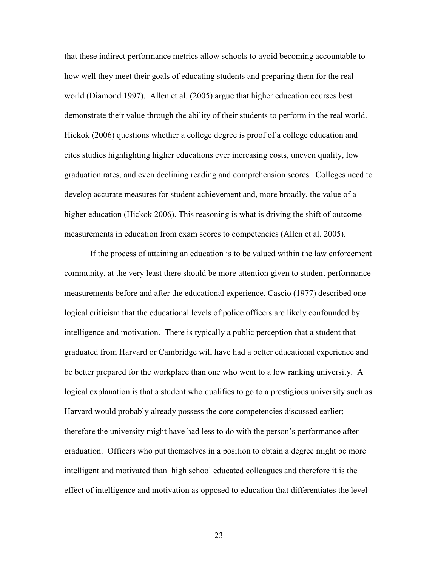that these indirect performance metrics allow schools to avoid becoming accountable to how well they meet their goals of educating students and preparing them for the real world (Diamond 1997). Allen et al. (2005) argue that higher education courses best demonstrate their value through the ability of their students to perform in the real world. Hickok (2006) questions whether a college degree is proof of a college education and cites studies highlighting higher educations ever increasing costs, uneven quality, low graduation rates, and even declining reading and comprehension scores. Colleges need to develop accurate measures for student achievement and, more broadly, the value of a higher education (Hickok 2006). This reasoning is what is driving the shift of outcome measurements in education from exam scores to competencies (Allen et al. 2005).

If the process of attaining an education is to be valued within the law enforcement community, at the very least there should be more attention given to student performance measurements before and after the educational experience. Cascio (1977) described one logical criticism that the educational levels of police officers are likely confounded by intelligence and motivation. There is typically a public perception that a student that graduated from Harvard or Cambridge will have had a better educational experience and be better prepared for the workplace than one who went to a low ranking university. A logical explanation is that a student who qualifies to go to a prestigious university such as Harvard would probably already possess the core competencies discussed earlier; therefore the university might have had less to do with the person's performance after graduation. Officers who put themselves in a position to obtain a degree might be more intelligent and motivated than high school educated colleagues and therefore it is the effect of intelligence and motivation as opposed to education that differentiates the level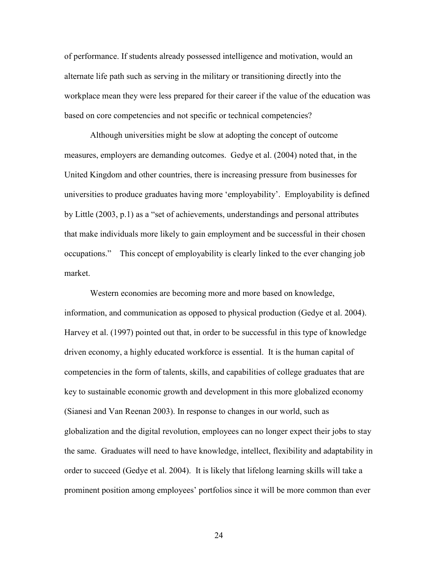of performance. If students already possessed intelligence and motivation, would an alternate life path such as serving in the military or transitioning directly into the workplace mean they were less prepared for their career if the value of the education was based on core competencies and not specific or technical competencies?

Although universities might be slow at adopting the concept of outcome measures, employers are demanding outcomes. Gedye et al. (2004) noted that, in the United Kingdom and other countries, there is increasing pressure from businesses for universities to produce graduates having more 'employability'. Employability is defined by Little (2003, p.1) as a "set of achievements, understandings and personal attributes that make individuals more likely to gain employment and be successful in their chosen occupations." This concept of employability is clearly linked to the ever changing job market.

Western economies are becoming more and more based on knowledge, information, and communication as opposed to physical production (Gedye et al. 2004). Harvey et al. (1997) pointed out that, in order to be successful in this type of knowledge driven economy, a highly educated workforce is essential. It is the human capital of competencies in the form of talents, skills, and capabilities of college graduates that are key to sustainable economic growth and development in this more globalized economy (Sianesi and Van Reenan 2003). In response to changes in our world, such as globalization and the digital revolution, employees can no longer expect their jobs to stay the same. Graduates will need to have knowledge, intellect, flexibility and adaptability in order to succeed (Gedye et al. 2004). It is likely that lifelong learning skills will take a prominent position among employees' portfolios since it will be more common than ever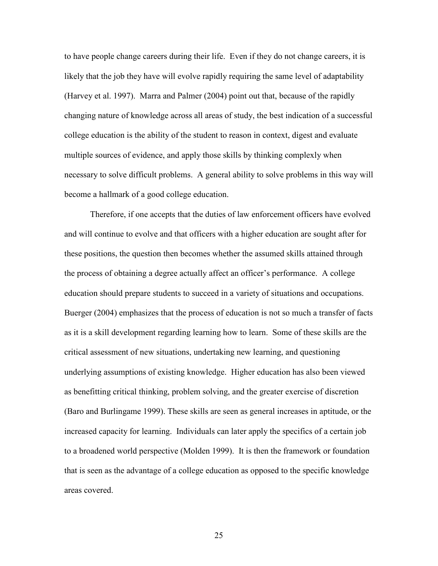to have people change careers during their life. Even if they do not change careers, it is likely that the job they have will evolve rapidly requiring the same level of adaptability (Harvey et al. 1997). Marra and Palmer (2004) point out that, because of the rapidly changing nature of knowledge across all areas of study, the best indication of a successful college education is the ability of the student to reason in context, digest and evaluate multiple sources of evidence, and apply those skills by thinking complexly when necessary to solve difficult problems. A general ability to solve problems in this way will become a hallmark of a good college education.

Therefore, if one accepts that the duties of law enforcement officers have evolved and will continue to evolve and that officers with a higher education are sought after for these positions, the question then becomes whether the assumed skills attained through the process of obtaining a degree actually affect an officer's performance. A college education should prepare students to succeed in a variety of situations and occupations. Buerger (2004) emphasizes that the process of education is not so much a transfer of facts as it is a skill development regarding learning how to learn. Some of these skills are the critical assessment of new situations, undertaking new learning, and questioning underlying assumptions of existing knowledge. Higher education has also been viewed as benefitting critical thinking, problem solving, and the greater exercise of discretion (Baro and Burlingame 1999). These skills are seen as general increases in aptitude, or the increased capacity for learning. Individuals can later apply the specifics of a certain job to a broadened world perspective (Molden 1999). It is then the framework or foundation that is seen as the advantage of a college education as opposed to the specific knowledge areas covered.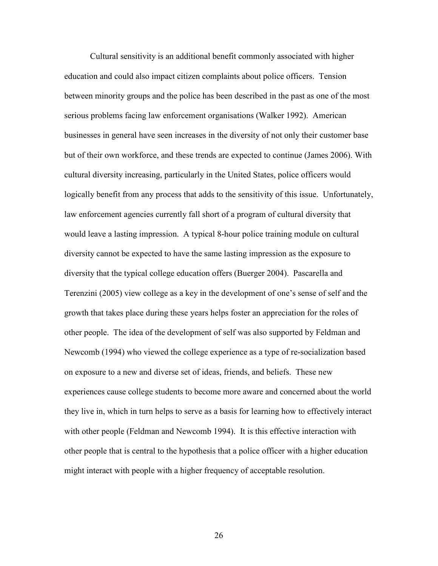Cultural sensitivity is an additional benefit commonly associated with higher education and could also impact citizen complaints about police officers. Tension between minority groups and the police has been described in the past as one of the most serious problems facing law enforcement organisations (Walker 1992). American businesses in general have seen increases in the diversity of not only their customer base but of their own workforce, and these trends are expected to continue (James 2006). With cultural diversity increasing, particularly in the United States, police officers would logically benefit from any process that adds to the sensitivity of this issue. Unfortunately, law enforcement agencies currently fall short of a program of cultural diversity that would leave a lasting impression. A typical 8-hour police training module on cultural diversity cannot be expected to have the same lasting impression as the exposure to diversity that the typical college education offers (Buerger 2004). Pascarella and Terenzini (2005) view college as a key in the development of one's sense of self and the growth that takes place during these years helps foster an appreciation for the roles of other people. The idea of the development of self was also supported by Feldman and Newcomb (1994) who viewed the college experience as a type of re-socialization based on exposure to a new and diverse set of ideas, friends, and beliefs. These new experiences cause college students to become more aware and concerned about the world they live in, which in turn helps to serve as a basis for learning how to effectively interact with other people (Feldman and Newcomb 1994). It is this effective interaction with other people that is central to the hypothesis that a police officer with a higher education might interact with people with a higher frequency of acceptable resolution.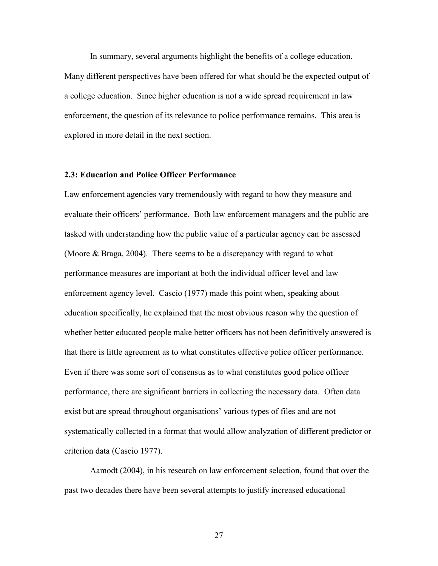In summary, several arguments highlight the benefits of a college education. Many different perspectives have been offered for what should be the expected output of a college education. Since higher education is not a wide spread requirement in law enforcement, the question of its relevance to police performance remains. This area is explored in more detail in the next section.

## **2.3: Education and Police Officer Performance**

Law enforcement agencies vary tremendously with regard to how they measure and evaluate their officers' performance. Both law enforcement managers and the public are tasked with understanding how the public value of a particular agency can be assessed (Moore & Braga, 2004). There seems to be a discrepancy with regard to what performance measures are important at both the individual officer level and law enforcement agency level. Cascio (1977) made this point when, speaking about education specifically, he explained that the most obvious reason why the question of whether better educated people make better officers has not been definitively answered is that there is little agreement as to what constitutes effective police officer performance. Even if there was some sort of consensus as to what constitutes good police officer performance, there are significant barriers in collecting the necessary data. Often data exist but are spread throughout organisations' various types of files and are not systematically collected in a format that would allow analyzation of different predictor or criterion data (Cascio 1977).

Aamodt (2004), in his research on law enforcement selection, found that over the past two decades there have been several attempts to justify increased educational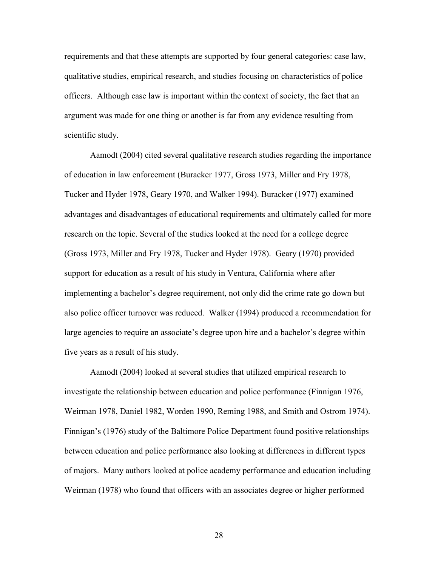requirements and that these attempts are supported by four general categories: case law, qualitative studies, empirical research, and studies focusing on characteristics of police officers. Although case law is important within the context of society, the fact that an argument was made for one thing or another is far from any evidence resulting from scientific study.

Aamodt (2004) cited several qualitative research studies regarding the importance of education in law enforcement (Buracker 1977, Gross 1973, Miller and Fry 1978, Tucker and Hyder 1978, Geary 1970, and Walker 1994). Buracker (1977) examined advantages and disadvantages of educational requirements and ultimately called for more research on the topic. Several of the studies looked at the need for a college degree (Gross 1973, Miller and Fry 1978, Tucker and Hyder 1978). Geary (1970) provided support for education as a result of his study in Ventura, California where after implementing a bachelor's degree requirement, not only did the crime rate go down but also police officer turnover was reduced. Walker (1994) produced a recommendation for large agencies to require an associate's degree upon hire and a bachelor's degree within five years as a result of his study.

Aamodt (2004) looked at several studies that utilized empirical research to investigate the relationship between education and police performance (Finnigan 1976, Weirman 1978, Daniel 1982, Worden 1990, Reming 1988, and Smith and Ostrom 1974). Finnigan's (1976) study of the Baltimore Police Department found positive relationships between education and police performance also looking at differences in different types of majors. Many authors looked at police academy performance and education including Weirman (1978) who found that officers with an associates degree or higher performed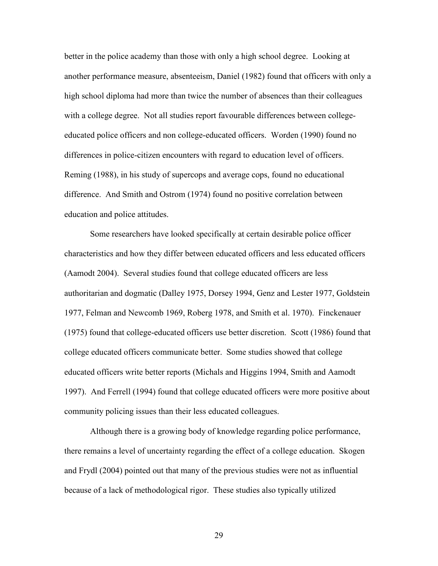better in the police academy than those with only a high school degree. Looking at another performance measure, absenteeism, Daniel (1982) found that officers with only a high school diploma had more than twice the number of absences than their colleagues with a college degree. Not all studies report favourable differences between collegeeducated police officers and non college-educated officers. Worden (1990) found no differences in police-citizen encounters with regard to education level of officers. Reming (1988), in his study of supercops and average cops, found no educational difference. And Smith and Ostrom (1974) found no positive correlation between education and police attitudes.

Some researchers have looked specifically at certain desirable police officer characteristics and how they differ between educated officers and less educated officers (Aamodt 2004). Several studies found that college educated officers are less authoritarian and dogmatic (Dalley 1975, Dorsey 1994, Genz and Lester 1977, Goldstein 1977, Felman and Newcomb 1969, Roberg 1978, and Smith et al. 1970). Finckenauer (1975) found that college-educated officers use better discretion. Scott (1986) found that college educated officers communicate better. Some studies showed that college educated officers write better reports (Michals and Higgins 1994, Smith and Aamodt 1997). And Ferrell (1994) found that college educated officers were more positive about community policing issues than their less educated colleagues.

 Although there is a growing body of knowledge regarding police performance, there remains a level of uncertainty regarding the effect of a college education. Skogen and Frydl (2004) pointed out that many of the previous studies were not as influential because of a lack of methodological rigor. These studies also typically utilized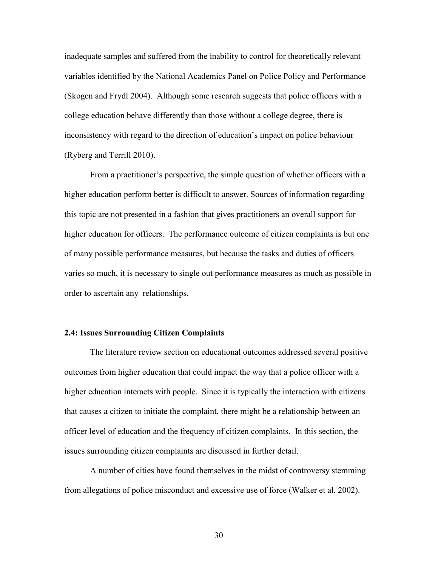inadequate samples and suffered from the inability to control for theoretically relevant variables identified by the National Academics Panel on Police Policy and Performance (Skogen and Frydl 2004). Although some research suggests that police officers with a college education behave differently than those without a college degree, there is inconsistency with regard to the direction of education's impact on police behaviour (Ryberg and Terrill 2010).

From a practitioner's perspective, the simple question of whether officers with a higher education perform better is difficult to answer. Sources of information regarding this topic are not presented in a fashion that gives practitioners an overall support for higher education for officers. The performance outcome of citizen complaints is but one of many possible performance measures, but because the tasks and duties of officers varies so much, it is necessary to single out performance measures as much as possible in order to ascertain any relationships.

#### **2.4: Issues Surrounding Citizen Complaints**

The literature review section on educational outcomes addressed several positive outcomes from higher education that could impact the way that a police officer with a higher education interacts with people. Since it is typically the interaction with citizens that causes a citizen to initiate the complaint, there might be a relationship between an officer level of education and the frequency of citizen complaints. In this section, the issues surrounding citizen complaints are discussed in further detail.

A number of cities have found themselves in the midst of controversy stemming from allegations of police misconduct and excessive use of force (Walker et al. 2002).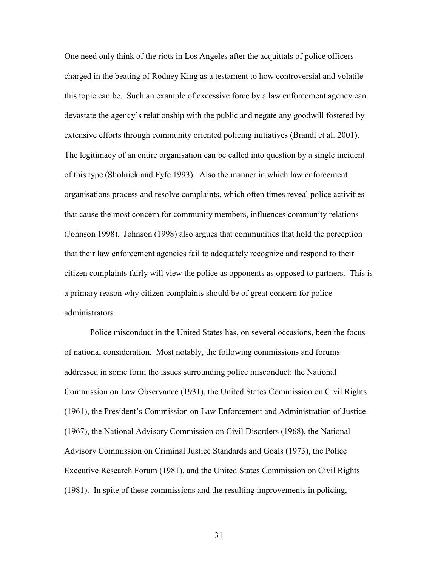One need only think of the riots in Los Angeles after the acquittals of police officers charged in the beating of Rodney King as a testament to how controversial and volatile this topic can be. Such an example of excessive force by a law enforcement agency can devastate the agency's relationship with the public and negate any goodwill fostered by extensive efforts through community oriented policing initiatives (Brandl et al. 2001). The legitimacy of an entire organisation can be called into question by a single incident of this type (Sholnick and Fyfe 1993). Also the manner in which law enforcement organisations process and resolve complaints, which often times reveal police activities that cause the most concern for community members, influences community relations (Johnson 1998). Johnson (1998) also argues that communities that hold the perception that their law enforcement agencies fail to adequately recognize and respond to their citizen complaints fairly will view the police as opponents as opposed to partners. This is a primary reason why citizen complaints should be of great concern for police administrators.

Police misconduct in the United States has, on several occasions, been the focus of national consideration. Most notably, the following commissions and forums addressed in some form the issues surrounding police misconduct: the National Commission on Law Observance (1931), the United States Commission on Civil Rights (1961), the President's Commission on Law Enforcement and Administration of Justice (1967), the National Advisory Commission on Civil Disorders (1968), the National Advisory Commission on Criminal Justice Standards and Goals (1973), the Police Executive Research Forum (1981), and the United States Commission on Civil Rights (1981). In spite of these commissions and the resulting improvements in policing,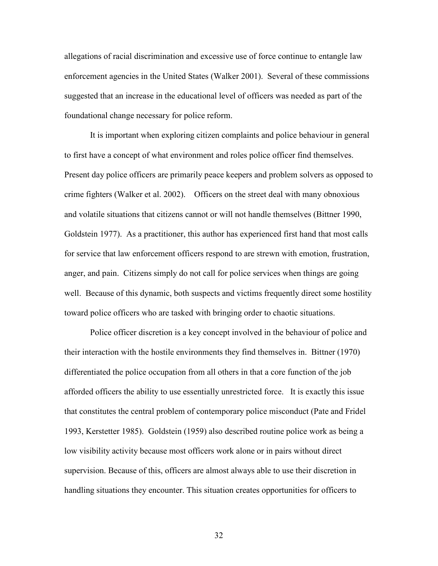allegations of racial discrimination and excessive use of force continue to entangle law enforcement agencies in the United States (Walker 2001). Several of these commissions suggested that an increase in the educational level of officers was needed as part of the foundational change necessary for police reform.

It is important when exploring citizen complaints and police behaviour in general to first have a concept of what environment and roles police officer find themselves. Present day police officers are primarily peace keepers and problem solvers as opposed to crime fighters (Walker et al. 2002). Officers on the street deal with many obnoxious and volatile situations that citizens cannot or will not handle themselves (Bittner 1990, Goldstein 1977). As a practitioner, this author has experienced first hand that most calls for service that law enforcement officers respond to are strewn with emotion, frustration, anger, and pain. Citizens simply do not call for police services when things are going well. Because of this dynamic, both suspects and victims frequently direct some hostility toward police officers who are tasked with bringing order to chaotic situations.

Police officer discretion is a key concept involved in the behaviour of police and their interaction with the hostile environments they find themselves in. Bittner (1970) differentiated the police occupation from all others in that a core function of the job afforded officers the ability to use essentially unrestricted force. It is exactly this issue that constitutes the central problem of contemporary police misconduct (Pate and Fridel 1993, Kerstetter 1985). Goldstein (1959) also described routine police work as being a low visibility activity because most officers work alone or in pairs without direct supervision. Because of this, officers are almost always able to use their discretion in handling situations they encounter. This situation creates opportunities for officers to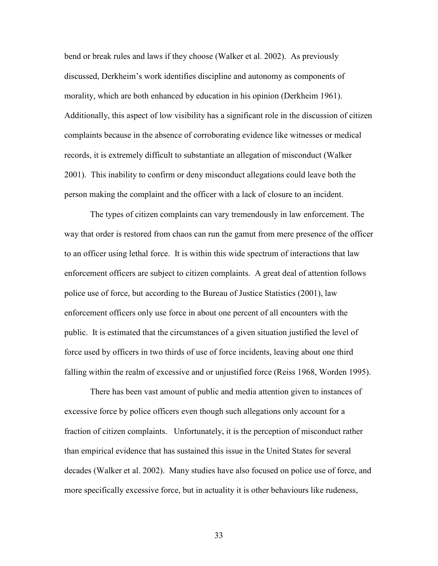bend or break rules and laws if they choose (Walker et al. 2002). As previously discussed, Derkheim's work identifies discipline and autonomy as components of morality, which are both enhanced by education in his opinion (Derkheim 1961). Additionally, this aspect of low visibility has a significant role in the discussion of citizen complaints because in the absence of corroborating evidence like witnesses or medical records, it is extremely difficult to substantiate an allegation of misconduct (Walker 2001). This inability to confirm or deny misconduct allegations could leave both the person making the complaint and the officer with a lack of closure to an incident.

The types of citizen complaints can vary tremendously in law enforcement. The way that order is restored from chaos can run the gamut from mere presence of the officer to an officer using lethal force. It is within this wide spectrum of interactions that law enforcement officers are subject to citizen complaints. A great deal of attention follows police use of force, but according to the Bureau of Justice Statistics (2001), law enforcement officers only use force in about one percent of all encounters with the public. It is estimated that the circumstances of a given situation justified the level of force used by officers in two thirds of use of force incidents, leaving about one third falling within the realm of excessive and or unjustified force (Reiss 1968, Worden 1995).

There has been vast amount of public and media attention given to instances of excessive force by police officers even though such allegations only account for a fraction of citizen complaints. Unfortunately, it is the perception of misconduct rather than empirical evidence that has sustained this issue in the United States for several decades (Walker et al. 2002). Many studies have also focused on police use of force, and more specifically excessive force, but in actuality it is other behaviours like rudeness,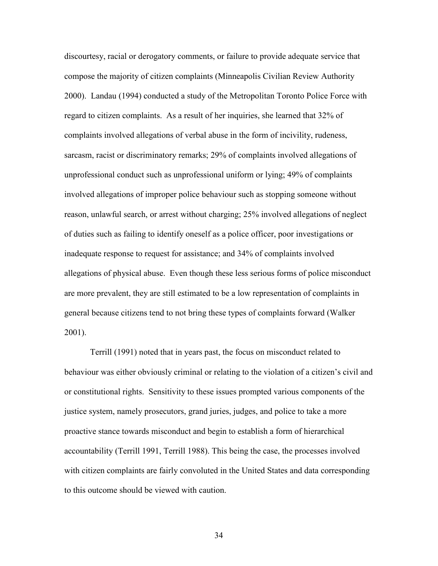discourtesy, racial or derogatory comments, or failure to provide adequate service that compose the majority of citizen complaints (Minneapolis Civilian Review Authority 2000). Landau (1994) conducted a study of the Metropolitan Toronto Police Force with regard to citizen complaints. As a result of her inquiries, she learned that 32% of complaints involved allegations of verbal abuse in the form of incivility, rudeness, sarcasm, racist or discriminatory remarks; 29% of complaints involved allegations of unprofessional conduct such as unprofessional uniform or lying; 49% of complaints involved allegations of improper police behaviour such as stopping someone without reason, unlawful search, or arrest without charging; 25% involved allegations of neglect of duties such as failing to identify oneself as a police officer, poor investigations or inadequate response to request for assistance; and 34% of complaints involved allegations of physical abuse. Even though these less serious forms of police misconduct are more prevalent, they are still estimated to be a low representation of complaints in general because citizens tend to not bring these types of complaints forward (Walker 2001).

Terrill (1991) noted that in years past, the focus on misconduct related to behaviour was either obviously criminal or relating to the violation of a citizen's civil and or constitutional rights. Sensitivity to these issues prompted various components of the justice system, namely prosecutors, grand juries, judges, and police to take a more proactive stance towards misconduct and begin to establish a form of hierarchical accountability (Terrill 1991, Terrill 1988). This being the case, the processes involved with citizen complaints are fairly convoluted in the United States and data corresponding to this outcome should be viewed with caution.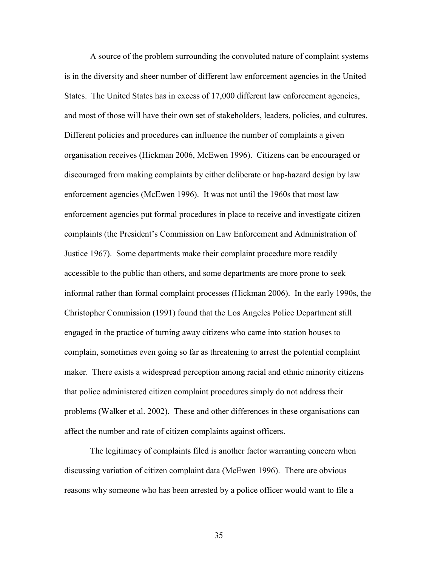A source of the problem surrounding the convoluted nature of complaint systems is in the diversity and sheer number of different law enforcement agencies in the United States. The United States has in excess of 17,000 different law enforcement agencies, and most of those will have their own set of stakeholders, leaders, policies, and cultures. Different policies and procedures can influence the number of complaints a given organisation receives (Hickman 2006, McEwen 1996). Citizens can be encouraged or discouraged from making complaints by either deliberate or hap-hazard design by law enforcement agencies (McEwen 1996). It was not until the 1960s that most law enforcement agencies put formal procedures in place to receive and investigate citizen complaints (the President's Commission on Law Enforcement and Administration of Justice 1967). Some departments make their complaint procedure more readily accessible to the public than others, and some departments are more prone to seek informal rather than formal complaint processes (Hickman 2006). In the early 1990s, the Christopher Commission (1991) found that the Los Angeles Police Department still engaged in the practice of turning away citizens who came into station houses to complain, sometimes even going so far as threatening to arrest the potential complaint maker. There exists a widespread perception among racial and ethnic minority citizens that police administered citizen complaint procedures simply do not address their problems (Walker et al. 2002). These and other differences in these organisations can affect the number and rate of citizen complaints against officers.

The legitimacy of complaints filed is another factor warranting concern when discussing variation of citizen complaint data (McEwen 1996). There are obvious reasons why someone who has been arrested by a police officer would want to file a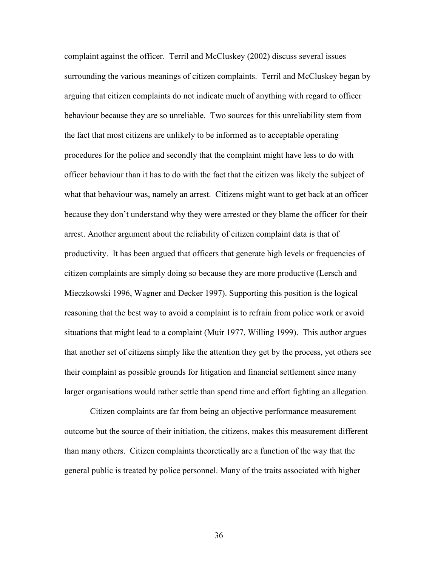complaint against the officer. Terril and McCluskey (2002) discuss several issues surrounding the various meanings of citizen complaints. Terril and McCluskey began by arguing that citizen complaints do not indicate much of anything with regard to officer behaviour because they are so unreliable. Two sources for this unreliability stem from the fact that most citizens are unlikely to be informed as to acceptable operating procedures for the police and secondly that the complaint might have less to do with officer behaviour than it has to do with the fact that the citizen was likely the subject of what that behaviour was, namely an arrest. Citizens might want to get back at an officer because they don't understand why they were arrested or they blame the officer for their arrest. Another argument about the reliability of citizen complaint data is that of productivity. It has been argued that officers that generate high levels or frequencies of citizen complaints are simply doing so because they are more productive (Lersch and Mieczkowski 1996, Wagner and Decker 1997). Supporting this position is the logical reasoning that the best way to avoid a complaint is to refrain from police work or avoid situations that might lead to a complaint (Muir 1977, Willing 1999). This author argues that another set of citizens simply like the attention they get by the process, yet others see their complaint as possible grounds for litigation and financial settlement since many larger organisations would rather settle than spend time and effort fighting an allegation.

Citizen complaints are far from being an objective performance measurement outcome but the source of their initiation, the citizens, makes this measurement different than many others. Citizen complaints theoretically are a function of the way that the general public is treated by police personnel. Many of the traits associated with higher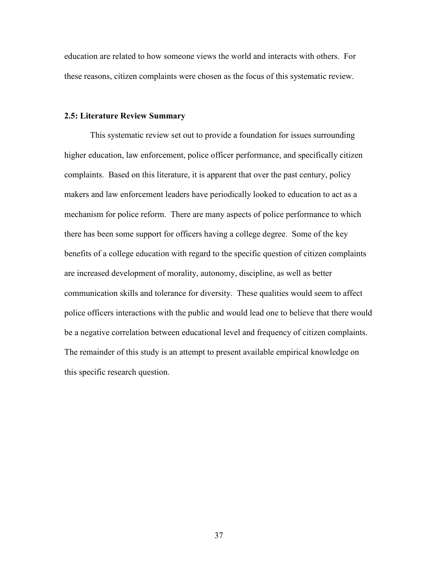education are related to how someone views the world and interacts with others. For these reasons, citizen complaints were chosen as the focus of this systematic review.

### **2.5: Literature Review Summary**

This systematic review set out to provide a foundation for issues surrounding higher education, law enforcement, police officer performance, and specifically citizen complaints. Based on this literature, it is apparent that over the past century, policy makers and law enforcement leaders have periodically looked to education to act as a mechanism for police reform. There are many aspects of police performance to which there has been some support for officers having a college degree. Some of the key benefits of a college education with regard to the specific question of citizen complaints are increased development of morality, autonomy, discipline, as well as better communication skills and tolerance for diversity. These qualities would seem to affect police officers interactions with the public and would lead one to believe that there would be a negative correlation between educational level and frequency of citizen complaints. The remainder of this study is an attempt to present available empirical knowledge on this specific research question.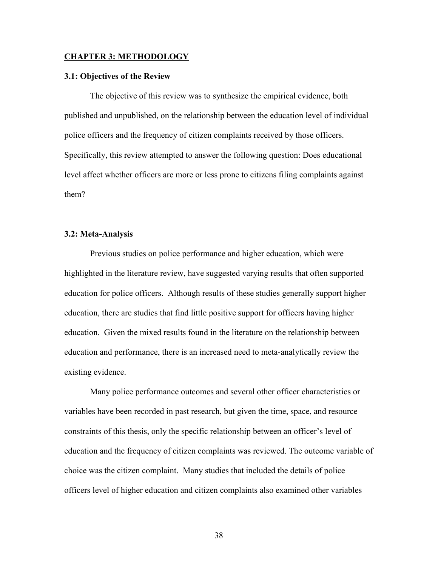#### **CHAPTER 3: METHODOLOGY**

### **3.1: Objectives of the Review**

 The objective of this review was to synthesize the empirical evidence, both published and unpublished, on the relationship between the education level of individual police officers and the frequency of citizen complaints received by those officers. Specifically, this review attempted to answer the following question: Does educational level affect whether officers are more or less prone to citizens filing complaints against them?

## **3.2: Meta-Analysis**

 Previous studies on police performance and higher education, which were highlighted in the literature review, have suggested varying results that often supported education for police officers. Although results of these studies generally support higher education, there are studies that find little positive support for officers having higher education. Given the mixed results found in the literature on the relationship between education and performance, there is an increased need to meta-analytically review the existing evidence.

Many police performance outcomes and several other officer characteristics or variables have been recorded in past research, but given the time, space, and resource constraints of this thesis, only the specific relationship between an officer's level of education and the frequency of citizen complaints was reviewed. The outcome variable of choice was the citizen complaint. Many studies that included the details of police officers level of higher education and citizen complaints also examined other variables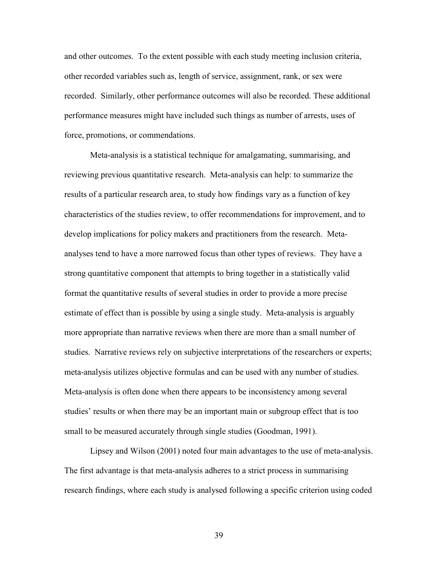and other outcomes. To the extent possible with each study meeting inclusion criteria, other recorded variables such as, length of service, assignment, rank, or sex were recorded. Similarly, other performance outcomes will also be recorded. These additional performance measures might have included such things as number of arrests, uses of force, promotions, or commendations.

 Meta-analysis is a statistical technique for amalgamating, summarising, and reviewing previous quantitative research. Meta-analysis can help: to summarize the results of a particular research area, to study how findings vary as a function of key characteristics of the studies review, to offer recommendations for improvement, and to develop implications for policy makers and practitioners from the research. Metaanalyses tend to have a more narrowed focus than other types of reviews. They have a strong quantitative component that attempts to bring together in a statistically valid format the quantitative results of several studies in order to provide a more precise estimate of effect than is possible by using a single study. Meta-analysis is arguably more appropriate than narrative reviews when there are more than a small number of studies. Narrative reviews rely on subjective interpretations of the researchers or experts; meta-analysis utilizes objective formulas and can be used with any number of studies. Meta-analysis is often done when there appears to be inconsistency among several studies' results or when there may be an important main or subgroup effect that is too small to be measured accurately through single studies (Goodman, 1991).

 Lipsey and Wilson (2001) noted four main advantages to the use of meta-analysis. The first advantage is that meta-analysis adheres to a strict process in summarising research findings, where each study is analysed following a specific criterion using coded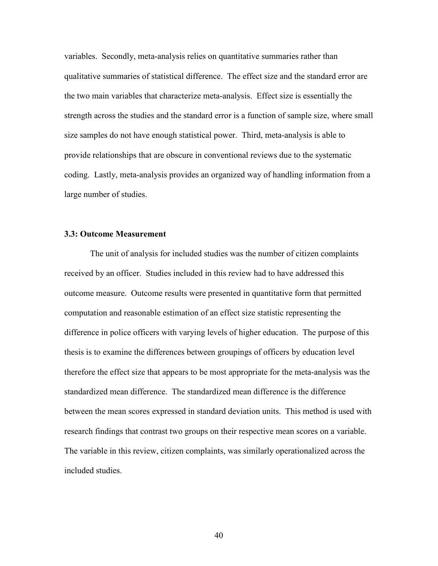variables. Secondly, meta-analysis relies on quantitative summaries rather than qualitative summaries of statistical difference. The effect size and the standard error are the two main variables that characterize meta-analysis. Effect size is essentially the strength across the studies and the standard error is a function of sample size, where small size samples do not have enough statistical power. Third, meta-analysis is able to provide relationships that are obscure in conventional reviews due to the systematic coding. Lastly, meta-analysis provides an organized way of handling information from a large number of studies.

## **3.3: Outcome Measurement**

The unit of analysis for included studies was the number of citizen complaints received by an officer. Studies included in this review had to have addressed this outcome measure. Outcome results were presented in quantitative form that permitted computation and reasonable estimation of an effect size statistic representing the difference in police officers with varying levels of higher education. The purpose of this thesis is to examine the differences between groupings of officers by education level therefore the effect size that appears to be most appropriate for the meta-analysis was the standardized mean difference. The standardized mean difference is the difference between the mean scores expressed in standard deviation units. This method is used with research findings that contrast two groups on their respective mean scores on a variable. The variable in this review, citizen complaints, was similarly operationalized across the included studies.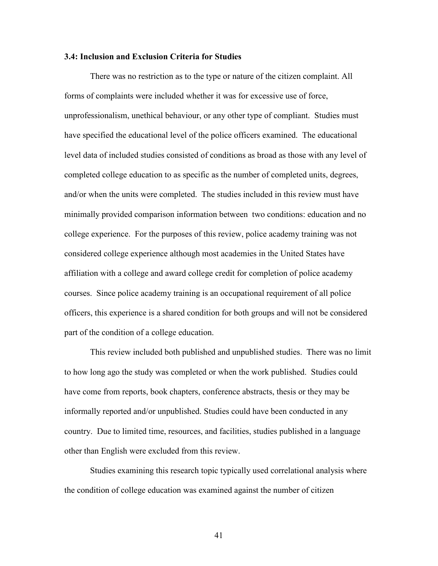### **3.4: Inclusion and Exclusion Criteria for Studies**

 There was no restriction as to the type or nature of the citizen complaint. All forms of complaints were included whether it was for excessive use of force, unprofessionalism, unethical behaviour, or any other type of compliant. Studies must have specified the educational level of the police officers examined. The educational level data of included studies consisted of conditions as broad as those with any level of completed college education to as specific as the number of completed units, degrees, and/or when the units were completed. The studies included in this review must have minimally provided comparison information between two conditions: education and no college experience. For the purposes of this review, police academy training was not considered college experience although most academies in the United States have affiliation with a college and award college credit for completion of police academy courses. Since police academy training is an occupational requirement of all police officers, this experience is a shared condition for both groups and will not be considered part of the condition of a college education.

 This review included both published and unpublished studies. There was no limit to how long ago the study was completed or when the work published. Studies could have come from reports, book chapters, conference abstracts, thesis or they may be informally reported and/or unpublished. Studies could have been conducted in any country. Due to limited time, resources, and facilities, studies published in a language other than English were excluded from this review.

 Studies examining this research topic typically used correlational analysis where the condition of college education was examined against the number of citizen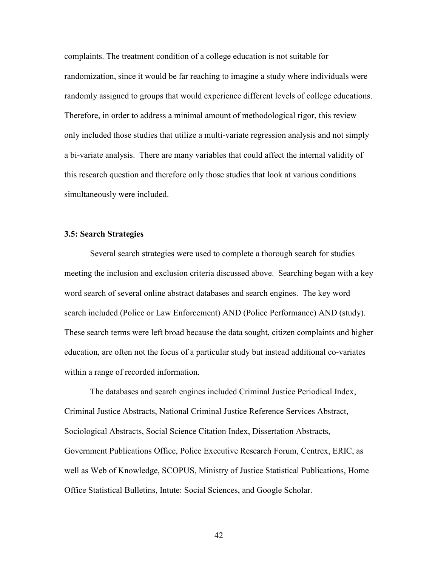complaints. The treatment condition of a college education is not suitable for randomization, since it would be far reaching to imagine a study where individuals were randomly assigned to groups that would experience different levels of college educations. Therefore, in order to address a minimal amount of methodological rigor, this review only included those studies that utilize a multi-variate regression analysis and not simply a bi-variate analysis. There are many variables that could affect the internal validity of this research question and therefore only those studies that look at various conditions simultaneously were included.

## **3.5: Search Strategies**

 Several search strategies were used to complete a thorough search for studies meeting the inclusion and exclusion criteria discussed above. Searching began with a key word search of several online abstract databases and search engines. The key word search included (Police or Law Enforcement) AND (Police Performance) AND (study). These search terms were left broad because the data sought, citizen complaints and higher education, are often not the focus of a particular study but instead additional co-variates within a range of recorded information.

The databases and search engines included Criminal Justice Periodical Index, Criminal Justice Abstracts, National Criminal Justice Reference Services Abstract, Sociological Abstracts, Social Science Citation Index, Dissertation Abstracts, Government Publications Office, Police Executive Research Forum, Centrex, ERIC, as well as Web of Knowledge, SCOPUS, Ministry of Justice Statistical Publications, Home Office Statistical Bulletins, Intute: Social Sciences, and Google Scholar.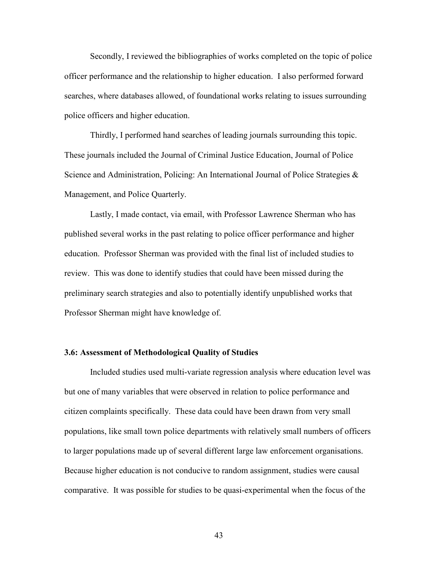Secondly, I reviewed the bibliographies of works completed on the topic of police officer performance and the relationship to higher education. I also performed forward searches, where databases allowed, of foundational works relating to issues surrounding police officers and higher education.

 Thirdly, I performed hand searches of leading journals surrounding this topic. These journals included the Journal of Criminal Justice Education, Journal of Police Science and Administration, Policing: An International Journal of Police Strategies & Management, and Police Quarterly.

 Lastly, I made contact, via email, with Professor Lawrence Sherman who has published several works in the past relating to police officer performance and higher education. Professor Sherman was provided with the final list of included studies to review. This was done to identify studies that could have been missed during the preliminary search strategies and also to potentially identify unpublished works that Professor Sherman might have knowledge of.

## **3.6: Assessment of Methodological Quality of Studies**

Included studies used multi-variate regression analysis where education level was but one of many variables that were observed in relation to police performance and citizen complaints specifically. These data could have been drawn from very small populations, like small town police departments with relatively small numbers of officers to larger populations made up of several different large law enforcement organisations. Because higher education is not conducive to random assignment, studies were causal comparative. It was possible for studies to be quasi-experimental when the focus of the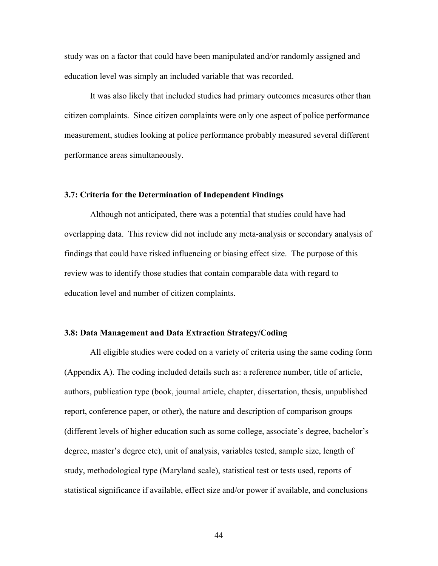study was on a factor that could have been manipulated and/or randomly assigned and education level was simply an included variable that was recorded.

 It was also likely that included studies had primary outcomes measures other than citizen complaints. Since citizen complaints were only one aspect of police performance measurement, studies looking at police performance probably measured several different performance areas simultaneously.

### **3.7: Criteria for the Determination of Independent Findings**

Although not anticipated, there was a potential that studies could have had overlapping data. This review did not include any meta-analysis or secondary analysis of findings that could have risked influencing or biasing effect size. The purpose of this review was to identify those studies that contain comparable data with regard to education level and number of citizen complaints.

### **3.8: Data Management and Data Extraction Strategy/Coding**

 All eligible studies were coded on a variety of criteria using the same coding form (Appendix A). The coding included details such as: a reference number, title of article, authors, publication type (book, journal article, chapter, dissertation, thesis, unpublished report, conference paper, or other), the nature and description of comparison groups (different levels of higher education such as some college, associate's degree, bachelor's degree, master's degree etc), unit of analysis, variables tested, sample size, length of study, methodological type (Maryland scale), statistical test or tests used, reports of statistical significance if available, effect size and/or power if available, and conclusions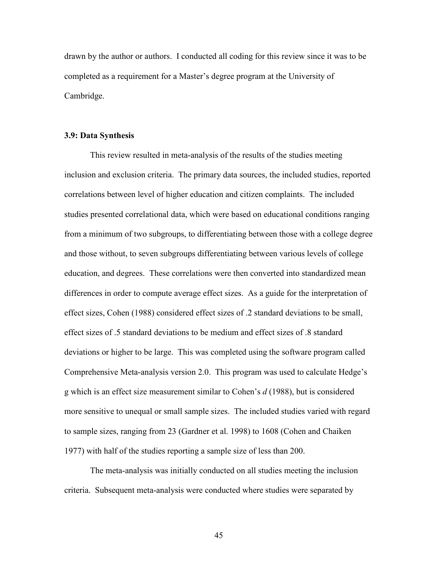drawn by the author or authors. I conducted all coding for this review since it was to be completed as a requirement for a Master's degree program at the University of Cambridge.

### **3.9: Data Synthesis**

 This review resulted in meta-analysis of the results of the studies meeting inclusion and exclusion criteria. The primary data sources, the included studies, reported correlations between level of higher education and citizen complaints. The included studies presented correlational data, which were based on educational conditions ranging from a minimum of two subgroups, to differentiating between those with a college degree and those without, to seven subgroups differentiating between various levels of college education, and degrees. These correlations were then converted into standardized mean differences in order to compute average effect sizes. As a guide for the interpretation of effect sizes, Cohen (1988) considered effect sizes of .2 standard deviations to be small, effect sizes of .5 standard deviations to be medium and effect sizes of .8 standard deviations or higher to be large. This was completed using the software program called Comprehensive Meta-analysis version 2.0. This program was used to calculate Hedge's g which is an effect size measurement similar to Cohen's *d* (1988), but is considered more sensitive to unequal or small sample sizes. The included studies varied with regard to sample sizes, ranging from 23 (Gardner et al. 1998) to 1608 (Cohen and Chaiken 1977) with half of the studies reporting a sample size of less than 200.

The meta-analysis was initially conducted on all studies meeting the inclusion criteria. Subsequent meta-analysis were conducted where studies were separated by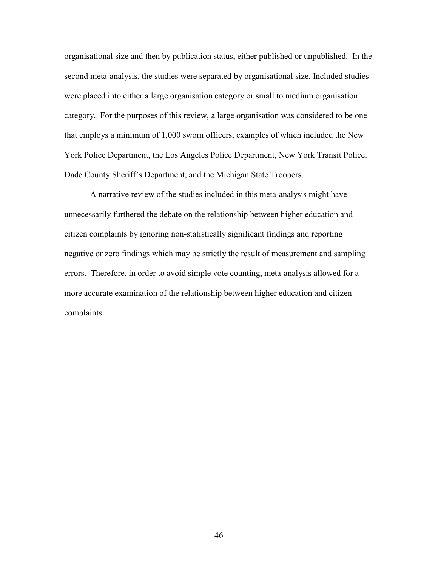organisational size and then by publication status, either published or unpublished. In the second meta-analysis, the studies were separated by organisational size. Included studies were placed into either a large organisation category or small to medium organisation category. For the purposes of this review, a large organisation was considered to be one that employs a minimum of 1,000 sworn officers, examples of which included the New York Police Department, the Los Angeles Police Department, New York Transit Police, Dade County Sheriff's Department, and the Michigan State Troopers.

A narrative review of the studies included in this meta-analysis might have unnecessarily furthered the debate on the relationship between higher education and citizen complaints by ignoring non-statistically significant findings and reporting negative or zero findings which may be strictly the result of measurement and sampling errors. Therefore, in order to avoid simple vote counting, meta-analysis allowed for a more accurate examination of the relationship between higher education and citizen complaints.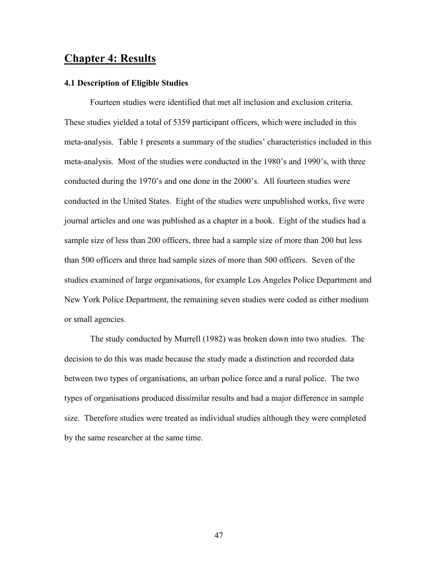## **Chapter 4: Results**

## **4.1 Description of Eligible Studies**

Fourteen studies were identified that met all inclusion and exclusion criteria. These studies yielded a total of 5359 participant officers, which were included in this meta-analysis. Table 1 presents a summary of the studies' characteristics included in this meta-analysis. Most of the studies were conducted in the 1980's and 1990's, with three conducted during the 1970's and one done in the 2000's. All fourteen studies were conducted in the United States. Eight of the studies were unpublished works, five were journal articles and one was published as a chapter in a book. Eight of the studies had a sample size of less than 200 officers, three had a sample size of more than 200 but less than 500 officers and three had sample sizes of more than 500 officers. Seven of the studies examined of large organisations, for example Los Angeles Police Department and New York Police Department, the remaining seven studies were coded as either medium or small agencies.

 The study conducted by Murrell (1982) was broken down into two studies. The decision to do this was made because the study made a distinction and recorded data between two types of organisations, an urban police force and a rural police. The two types of organisations produced dissimilar results and had a major difference in sample size. Therefore studies were treated as individual studies although they were completed by the same researcher at the same time.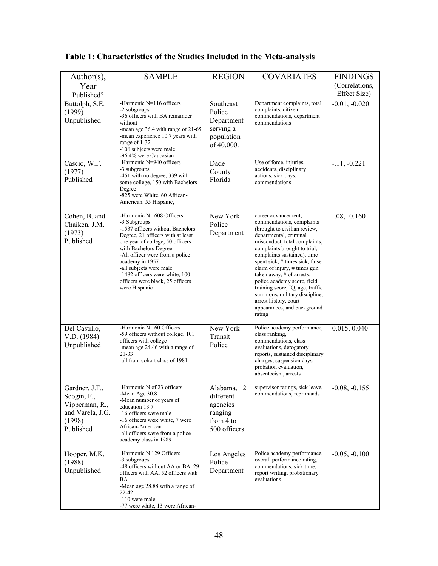| Author(s),                                                                                | <b>SAMPLE</b>                                                                                                                                                                                                                                                                                                                                           | <b>REGION</b>                                                                | <b>COVARIATES</b>                                                                                                                                                                                                                                                                                                                                                                                                                                                                | <b>FINDINGS</b> |
|-------------------------------------------------------------------------------------------|---------------------------------------------------------------------------------------------------------------------------------------------------------------------------------------------------------------------------------------------------------------------------------------------------------------------------------------------------------|------------------------------------------------------------------------------|----------------------------------------------------------------------------------------------------------------------------------------------------------------------------------------------------------------------------------------------------------------------------------------------------------------------------------------------------------------------------------------------------------------------------------------------------------------------------------|-----------------|
| Year                                                                                      |                                                                                                                                                                                                                                                                                                                                                         |                                                                              |                                                                                                                                                                                                                                                                                                                                                                                                                                                                                  | (Correlations,  |
| Published?                                                                                |                                                                                                                                                                                                                                                                                                                                                         |                                                                              |                                                                                                                                                                                                                                                                                                                                                                                                                                                                                  | Effect Size)    |
| Buttolph, S.E.<br>(1999)<br>Unpublished                                                   | -Harmonic N=116 officers<br>-2 subgroups<br>-36 officers with BA remainder<br>without<br>-mean age 36.4 with range of 21-65<br>-mean experience 10.7 years with<br>range of 1-32<br>-106 subjects were male<br>-96.4% were Caucasian                                                                                                                    | Southeast<br>Police<br>Department<br>serving a<br>population<br>of 40,000.   | Department complaints, total<br>complaints, citizen<br>commendations, department<br>commendations                                                                                                                                                                                                                                                                                                                                                                                | $-0.01, -0.020$ |
| Cascio, W.F.<br>(1977)<br>Published                                                       | -Harmonic N=940 officers<br>-3 subgroups<br>-451 with no degree, 339 with<br>some college, 150 with Bachelors<br>Degree<br>-825 were White, 60 African-<br>American, 55 Hispanic,                                                                                                                                                                       | Dade<br>County<br>Florida                                                    | Use of force, injuries,<br>accidents, disciplinary<br>actions, sick days,<br>commendations                                                                                                                                                                                                                                                                                                                                                                                       | $-11, -0.221$   |
| Cohen, B. and<br>Chaiken, J.M.<br>(1973)<br>Published                                     | -Harmonic N 1608 Officers<br>-3 Subgroups<br>-1537 officers without Bachelors<br>Degree, 21 officers with at least<br>one year of college, 50 officers<br>with Bachelors Degree<br>-All officer were from a police<br>academy in 1957<br>-all subjects were male<br>-1482 officers were white, 100<br>officers were black, 25 officers<br>were Hispanic | New York<br>Police<br>Department                                             | career advancement,<br>commendations, complaints<br>(brought to civilian review,<br>departmental, criminal<br>misconduct, total complaints,<br>complaints brought to trial,<br>complaints sustained), time<br>spent sick, # times sick, false<br>claim of injury, # times gun<br>taken away, # of arrests,<br>police academy score, field<br>training score, IQ, age, traffic<br>summons, military discipline,<br>arrest history, court<br>appearances, and background<br>rating | $-0.08, -0.160$ |
| Del Castillo,<br>V.D. (1984)<br>Unpublished                                               | -Harmonic N 160 Officers<br>-59 officers without college, 101<br>officers with college<br>-mean age 24.46 with a range of<br>$21 - 33$<br>-all from cohort class of 1981                                                                                                                                                                                | New York<br>Transit<br>Police                                                | Police academy performance,<br>class ranking,<br>commendations, class<br>evaluations, derogatory<br>reports, sustained disciplinary<br>charges, suspension days,<br>probation evaluation,<br>absenteeism, arrests                                                                                                                                                                                                                                                                | 0.015, 0.040    |
| Gardner, J.F.<br>Scogin, F.,<br>Vipperman, R.,<br>and Varela, J.G.<br>(1998)<br>Published | -Harmonic N of 23 officers<br>-Mean Age 30.8<br>-Mean number of years of<br>education 13.7<br>-16 officers were male<br>-16 officers were white, 7 were<br>African-American<br>-all officers were from a police<br>academy class in 1989                                                                                                                | Alabama, 12<br>different<br>agencies<br>ranging<br>from 4 to<br>500 officers | supervisor ratings, sick leave,<br>commendations, reprimands                                                                                                                                                                                                                                                                                                                                                                                                                     | $-0.08, -0.155$ |
| Hooper, M.K.<br>(1988)<br>Unpublished                                                     | -Harmonic N 129 Officers<br>-3 subgroups<br>-48 officers without AA or BA, 29<br>officers with AA, 52 officers with<br>BA<br>-Mean age 28.88 with a range of<br>22-42<br>-110 were male<br>-77 were white, 13 were African-                                                                                                                             | Los Angeles<br>Police<br>Department                                          | Police academy performance,<br>overall performance rating,<br>commendations, sick time,<br>report writing, probationary<br>evaluations                                                                                                                                                                                                                                                                                                                                           | $-0.05, -0.100$ |

# **Table 1: Characteristics of the Studies Included in the Meta-analysis**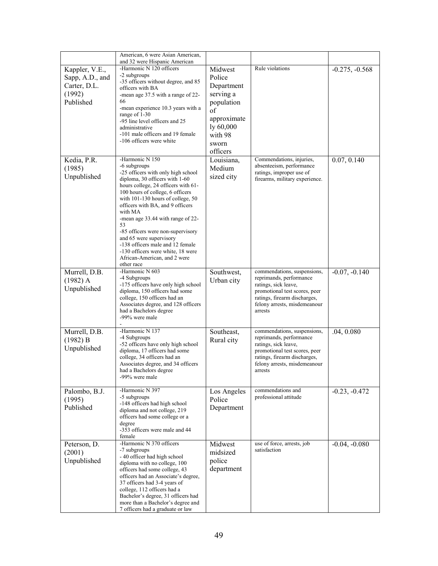|                 | American, 6 were Asian American,<br>and 32 were Hispanic American       |             |                                                               |                  |
|-----------------|-------------------------------------------------------------------------|-------------|---------------------------------------------------------------|------------------|
| Kappler, V.E.,  | -Harmonic N 120 officers                                                | Midwest     | Rule violations                                               | $-0.275, -0.568$ |
|                 | -2 subgroups                                                            |             |                                                               |                  |
| Sapp, A.D., and | -35 officers without degree, and 85                                     | Police      |                                                               |                  |
| Carter, D.L.    | officers with BA                                                        | Department  |                                                               |                  |
| (1992)          | -mean age 37.5 with a range of 22-                                      | serving a   |                                                               |                  |
| Published       | 66                                                                      | population  |                                                               |                  |
|                 | -mean experience 10.3 years with a                                      | of          |                                                               |                  |
|                 | range of 1-30<br>-95 line level officers and 25                         | approximate |                                                               |                  |
|                 | administrative                                                          | ly 60,000   |                                                               |                  |
|                 | -101 male officers and 19 female                                        | with 98     |                                                               |                  |
|                 | -106 officers were white                                                | sworn       |                                                               |                  |
|                 |                                                                         | officers    |                                                               |                  |
|                 | -Harmonic N 150                                                         |             | Commendations, injuries,                                      |                  |
| Kedia, P.R.     | -6 subgroups                                                            | Louisiana,  | absenteeism, performance                                      | 0.07, 0.140      |
| (1985)          | -25 officers with only high school                                      | Medium      | ratings, improper use of                                      |                  |
| Unpublished     | diploma, 30 officers with 1-60                                          | sized city  | firearms, military experience.                                |                  |
|                 | hours college, 24 officers with 61-                                     |             |                                                               |                  |
|                 | 100 hours of college, 6 officers                                        |             |                                                               |                  |
|                 | with 101-130 hours of college, 50                                       |             |                                                               |                  |
|                 | officers with BA, and 9 officers                                        |             |                                                               |                  |
|                 | with MA<br>-mean age 33.44 with range of 22-                            |             |                                                               |                  |
|                 | 53                                                                      |             |                                                               |                  |
|                 | -85 officers were non-supervisory                                       |             |                                                               |                  |
|                 | and 65 were supervisory                                                 |             |                                                               |                  |
|                 | -138 officers male and 12 female                                        |             |                                                               |                  |
|                 | -130 officers were white, 18 were                                       |             |                                                               |                  |
|                 | African-American, and 2 were<br>other race                              |             |                                                               |                  |
| Murrell, D.B.   | -Harmonic N 603                                                         | Southwest,  | commendations, suspensions,                                   | $-0.07, -0.140$  |
| $(1982)$ A      | -4 Subgroups                                                            | Urban city  | reprimands, performance                                       |                  |
|                 | -175 officers have only high school                                     |             | ratings, sick leave,                                          |                  |
| Unpublished     | diploma, 150 officers had some                                          |             | promotional test scores, peer                                 |                  |
|                 | college, 150 officers had an                                            |             | ratings, firearm discharges,                                  |                  |
|                 | Associates degree, and 128 officers<br>had a Bachelors degree           |             | felony arrests, misdemeanour<br>arrests                       |                  |
|                 | -99% were male                                                          |             |                                                               |                  |
|                 |                                                                         |             |                                                               |                  |
| Murrell, D.B.   | -Harmonic N 137                                                         | Southeast,  | commendations, suspensions,                                   | .04, 0.080       |
| (1982) B        | -4 Subgroups                                                            | Rural city  | reprimands, performance                                       |                  |
| Unpublished     | -52 officers have only high school                                      |             | ratings, sick leave,                                          |                  |
|                 | diploma, 17 officers had some<br>college, 34 officers had an            |             | promotional test scores, peer<br>ratings, firearm discharges, |                  |
|                 | Associates degree, and 34 officers                                      |             | felony arrests, misdemeanour                                  |                  |
|                 | had a Bachelors degree                                                  |             | arrests                                                       |                  |
|                 | -99% were male                                                          |             |                                                               |                  |
|                 |                                                                         |             |                                                               |                  |
| Palombo, B.J.   | -Harmonic N 397<br>-5 subgroups                                         | Los Angeles | commendations and<br>professional attitude                    | $-0.23, -0.472$  |
| (1995)          | -148 officers had high school                                           | Police      |                                                               |                  |
| Published       | diploma and not college, 219                                            | Department  |                                                               |                  |
|                 | officers had some college or a                                          |             |                                                               |                  |
|                 | degree                                                                  |             |                                                               |                  |
|                 | -353 officers were male and 44                                          |             |                                                               |                  |
|                 | female<br>-Harmonic N 370 officers                                      |             | use of force, arrests, job                                    |                  |
| Peterson, D.    | -7 subgroups                                                            | Midwest     | satisfaction                                                  | $-0.04, -0.080$  |
| (2001)          | - 40 officer had high school                                            | midsized    |                                                               |                  |
| Unpublished     | diploma with no college, 100                                            | police      |                                                               |                  |
|                 | officers had some college, 43                                           | department  |                                                               |                  |
|                 | officers had an Associate's degree,                                     |             |                                                               |                  |
|                 | 37 officers had 3-4 years of                                            |             |                                                               |                  |
|                 | college, 112 officers had a                                             |             |                                                               |                  |
|                 | Bachelor's degree, 31 officers had<br>more than a Bachelor's degree and |             |                                                               |                  |
|                 | 7 officers had a graduate or law                                        |             |                                                               |                  |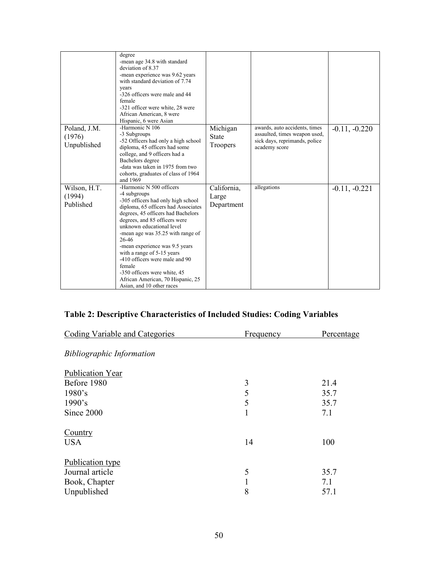|                                       | degree<br>-mean age 34.8 with standard<br>deviation of 8.37<br>-mean experience was 9.62 years<br>with standard deviation of 7.74<br>years<br>-326 officers were male and 44<br>female<br>-321 officer were white, 28 were<br>African American, 8 were<br>Hispanic, 6 were Asian                                                                                                                                                                                                      |                                      |                                                                                                                  |                 |
|---------------------------------------|---------------------------------------------------------------------------------------------------------------------------------------------------------------------------------------------------------------------------------------------------------------------------------------------------------------------------------------------------------------------------------------------------------------------------------------------------------------------------------------|--------------------------------------|------------------------------------------------------------------------------------------------------------------|-----------------|
| Poland, J.M.<br>(1976)<br>Unpublished | -Harmonic N 106<br>-3 Subgroups<br>-52 Officers had only a high school<br>diploma, 45 officers had some<br>college, and 9 officers had a<br>Bachelors degree<br>-data was taken in 1975 from two<br>cohorts, graduates of class of 1964<br>and 1969                                                                                                                                                                                                                                   | Michigan<br><b>State</b><br>Troopers | awards, auto accidents, times<br>assaulted, times weapon used,<br>sick days, reprimands, police<br>academy score | $-0.11, -0.220$ |
| Wilson, H.T.<br>(1994)<br>Published   | -Harmonic N 500 officers<br>-4 subgroups<br>-305 officers had only high school<br>diploma, 65 officers had Associates<br>degrees, 45 officers had Bachelors<br>degrees, and 85 officers were<br>unknown educational level<br>-mean age was 35.25 with range of<br>26-46<br>-mean experience was 9.5 years<br>with a range of 5-15 years<br>-410 officers were male and 90<br>female<br>-350 officers were white, 45<br>African American, 70 Hispanic, 25<br>Asian, and 10 other races | California,<br>Large<br>Department   | allegations                                                                                                      | $-0.11, -0.221$ |

# **Table 2: Descriptive Characteristics of Included Studies: Coding Variables**

| Coding Variable and Categories   | Frequency | Percentage |
|----------------------------------|-----------|------------|
| <b>Bibliographic Information</b> |           |            |
| Publication Year                 |           |            |
| Before 1980                      | 3         | 21.4       |
| 1980's                           | 5         | 35.7       |
| 1990's                           | 5         | 35.7       |
| Since 2000                       | 1         | 7.1        |
| Country                          |           |            |
| <b>USA</b>                       | 14        | 100        |
| Publication type                 |           |            |
| Journal article                  | 5         | 35.7       |
| Book, Chapter                    | 1         | 7.1        |
| Unpublished                      | 8         | 57.1       |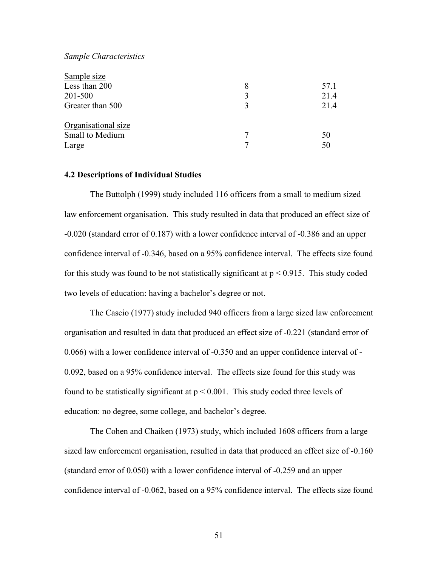### *Sample Characteristics*

| Sample size         |   |      |
|---------------------|---|------|
| Less than 200       | 8 | 57.1 |
| 201-500             | 3 | 21.4 |
| Greater than 500    | 3 | 21.4 |
| Organisational size |   |      |
| Small to Medium     | 7 | 50   |
| Large               |   | 50   |

### **4.2 Descriptions of Individual Studies**

 The Buttolph (1999) study included 116 officers from a small to medium sized law enforcement organisation. This study resulted in data that produced an effect size of -0.020 (standard error of 0.187) with a lower confidence interval of -0.386 and an upper confidence interval of -0.346, based on a 95% confidence interval. The effects size found for this study was found to be not statistically significant at  $p < 0.915$ . This study coded two levels of education: having a bachelor's degree or not.

 The Cascio (1977) study included 940 officers from a large sized law enforcement organisation and resulted in data that produced an effect size of -0.221 (standard error of 0.066) with a lower confidence interval of -0.350 and an upper confidence interval of - 0.092, based on a 95% confidence interval. The effects size found for this study was found to be statistically significant at  $p \le 0.001$ . This study coded three levels of education: no degree, some college, and bachelor's degree.

 The Cohen and Chaiken (1973) study, which included 1608 officers from a large sized law enforcement organisation, resulted in data that produced an effect size of -0.160 (standard error of 0.050) with a lower confidence interval of -0.259 and an upper confidence interval of -0.062, based on a 95% confidence interval. The effects size found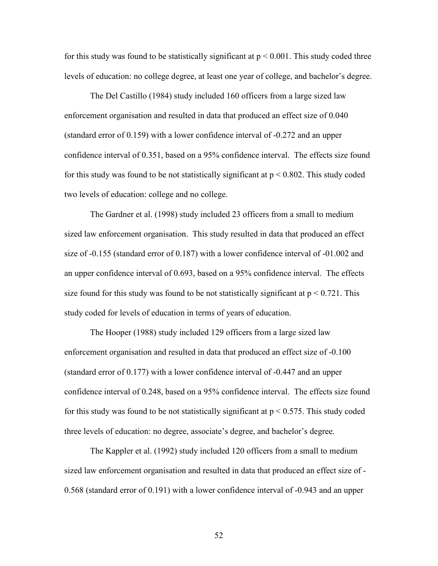for this study was found to be statistically significant at  $p \le 0.001$ . This study coded three levels of education: no college degree, at least one year of college, and bachelor's degree.

 The Del Castillo (1984) study included 160 officers from a large sized law enforcement organisation and resulted in data that produced an effect size of 0.040 (standard error of 0.159) with a lower confidence interval of -0.272 and an upper confidence interval of 0.351, based on a 95% confidence interval. The effects size found for this study was found to be not statistically significant at  $p < 0.802$ . This study coded two levels of education: college and no college.

 The Gardner et al. (1998) study included 23 officers from a small to medium sized law enforcement organisation. This study resulted in data that produced an effect size of -0.155 (standard error of 0.187) with a lower confidence interval of -01.002 and an upper confidence interval of 0.693, based on a 95% confidence interval. The effects size found for this study was found to be not statistically significant at  $p < 0.721$ . This study coded for levels of education in terms of years of education.

 The Hooper (1988) study included 129 officers from a large sized law enforcement organisation and resulted in data that produced an effect size of -0.100 (standard error of 0.177) with a lower confidence interval of -0.447 and an upper confidence interval of 0.248, based on a 95% confidence interval. The effects size found for this study was found to be not statistically significant at  $p < 0.575$ . This study coded three levels of education: no degree, associate's degree, and bachelor's degree.

 The Kappler et al. (1992) study included 120 officers from a small to medium sized law enforcement organisation and resulted in data that produced an effect size of - 0.568 (standard error of 0.191) with a lower confidence interval of -0.943 and an upper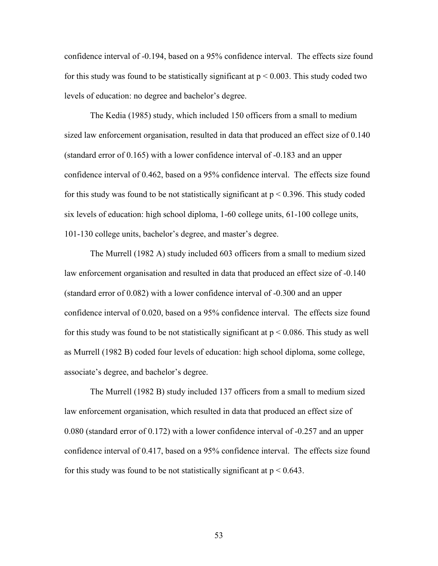confidence interval of -0.194, based on a 95% confidence interval. The effects size found for this study was found to be statistically significant at  $p < 0.003$ . This study coded two levels of education: no degree and bachelor's degree.

 The Kedia (1985) study, which included 150 officers from a small to medium sized law enforcement organisation, resulted in data that produced an effect size of 0.140 (standard error of 0.165) with a lower confidence interval of -0.183 and an upper confidence interval of 0.462, based on a 95% confidence interval. The effects size found for this study was found to be not statistically significant at  $p < 0.396$ . This study coded six levels of education: high school diploma, 1-60 college units, 61-100 college units, 101-130 college units, bachelor's degree, and master's degree.

 The Murrell (1982 A) study included 603 officers from a small to medium sized law enforcement organisation and resulted in data that produced an effect size of -0.140 (standard error of 0.082) with a lower confidence interval of -0.300 and an upper confidence interval of 0.020, based on a 95% confidence interval. The effects size found for this study was found to be not statistically significant at  $p \le 0.086$ . This study as well as Murrell (1982 B) coded four levels of education: high school diploma, some college, associate's degree, and bachelor's degree.

 The Murrell (1982 B) study included 137 officers from a small to medium sized law enforcement organisation, which resulted in data that produced an effect size of 0.080 (standard error of 0.172) with a lower confidence interval of -0.257 and an upper confidence interval of 0.417, based on a 95% confidence interval. The effects size found for this study was found to be not statistically significant at  $p < 0.643$ .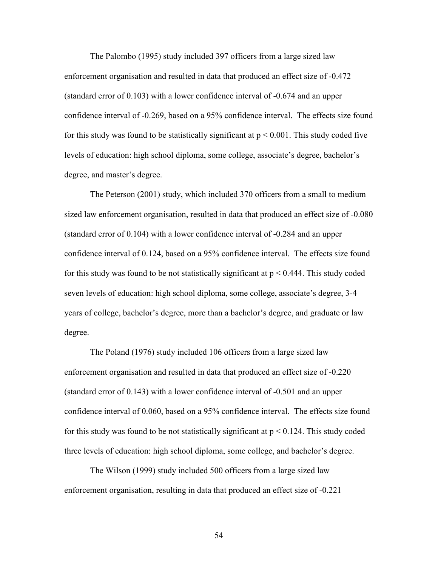The Palombo (1995) study included 397 officers from a large sized law enforcement organisation and resulted in data that produced an effect size of -0.472 (standard error of 0.103) with a lower confidence interval of -0.674 and an upper confidence interval of -0.269, based on a 95% confidence interval. The effects size found for this study was found to be statistically significant at  $p < 0.001$ . This study coded five levels of education: high school diploma, some college, associate's degree, bachelor's degree, and master's degree.

 The Peterson (2001) study, which included 370 officers from a small to medium sized law enforcement organisation, resulted in data that produced an effect size of -0.080 (standard error of 0.104) with a lower confidence interval of -0.284 and an upper confidence interval of 0.124, based on a 95% confidence interval. The effects size found for this study was found to be not statistically significant at  $p < 0.444$ . This study coded seven levels of education: high school diploma, some college, associate's degree, 3-4 years of college, bachelor's degree, more than a bachelor's degree, and graduate or law degree.

 The Poland (1976) study included 106 officers from a large sized law enforcement organisation and resulted in data that produced an effect size of -0.220 (standard error of 0.143) with a lower confidence interval of -0.501 and an upper confidence interval of 0.060, based on a 95% confidence interval. The effects size found for this study was found to be not statistically significant at  $p < 0.124$ . This study coded three levels of education: high school diploma, some college, and bachelor's degree.

 The Wilson (1999) study included 500 officers from a large sized law enforcement organisation, resulting in data that produced an effect size of -0.221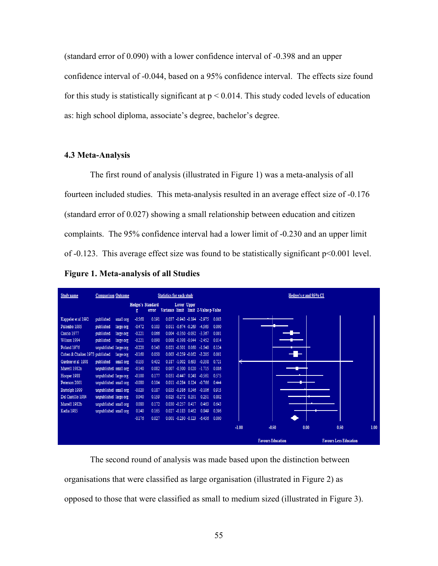(standard error of 0.090) with a lower confidence interval of -0.398 and an upper confidence interval of -0.044, based on a 95% confidence interval. The effects size found for this study is statistically significant at  $p < 0.014$ . This study coded levels of education as: high school diploma, associate's degree, bachelor's degree.

### **4.3 Meta-Analysis**

The first round of analysis (illustrated in Figure 1) was a meta-analysis of all fourteen included studies. This meta-analysis resulted in an average effect size of -0.176 (standard error of 0.027) showing a small relationship between education and citizen complaints. The 95% confidence interval had a lower limit of -0.230 and an upper limit of -0.123. This average effect size was found to be statistically significant p<0.001 level.

**Figure 1. Meta-analysis of all Studies** 



The second round of analysis was made based upon the distinction between organisations that were classified as large organisation (illustrated in Figure 2) as opposed to those that were classified as small to medium sized (illustrated in Figure 3).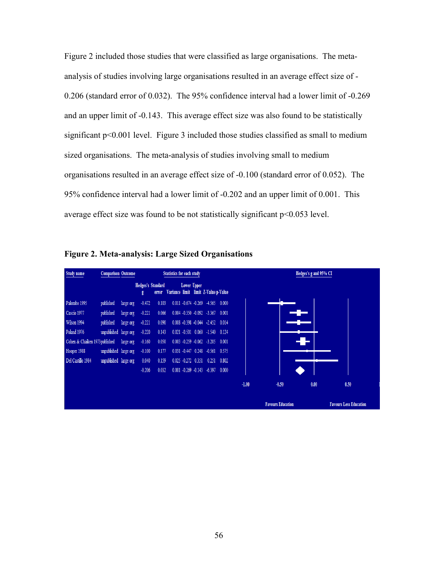Figure 2 included those studies that were classified as large organisations. The metaanalysis of studies involving large organisations resulted in an average effect size of - 0.206 (standard error of 0.032). The 95% confidence interval had a lower limit of -0.269 and an upper limit of -0.143. This average effect size was also found to be statistically significant p<0.001 level. Figure 3 included those studies classified as small to medium sized organisations. The meta-analysis of studies involving small to medium organisations resulted in an average effect size of -0.100 (standard error of 0.052). The 95% confidence interval had a lower limit of -0.202 and an upper limit of 0.001. This average effect size was found to be not statistically significant p<0.053 level.

| <b>Figure 2. Meta-analysis: Large Sized Organisations</b> |
|-----------------------------------------------------------|
|-----------------------------------------------------------|

| Study name                     | <b>Comparison Outcome</b> |           |          |                                   | <b>Statistics for each study</b> |                    |                                          |       | Hedges's g and 95% CI |                          |      |                               |
|--------------------------------|---------------------------|-----------|----------|-----------------------------------|----------------------------------|--------------------|------------------------------------------|-------|-----------------------|--------------------------|------|-------------------------------|
|                                |                           |           | g        | <b>Hedges's Standard</b><br>error |                                  | Lower Upper        | Variance limit limit Z-Value p-Value     |       |                       |                          |      |                               |
| Palombo 1995                   | published                 | large org | $-0.472$ | 0.103                             |                                  |                    | $0.011 - 0.674 - 0.269 - 4.565 0.000$    |       |                       |                          |      |                               |
| Cascio 1977                    | published                 | large org | $-0.221$ | 0.066                             |                                  |                    | $0.004 - 0.350 - 0.092 - 3.367$          | 0.001 |                       |                          |      |                               |
| Wilson 1994                    | published                 | large org | $-0.221$ | 0.090                             |                                  |                    | 0.008 -0.398 -0.044 -2.452 0.014         |       |                       |                          |      |                               |
| Poland 1976                    | unpublished large org     |           | $-0.220$ | 0.143                             |                                  |                    | $0.021 - 0.501$ $0.060$ $-1.540$         | 0.124 |                       |                          |      |                               |
| Cohen & Chaiken 1973 published |                           | large org | $-0.160$ | 0.050                             |                                  |                    | $0.003 -0.259 -0.062 -3.205$ 0.001       |       |                       |                          |      |                               |
| Hooper 1988                    | unpublished large org     |           | $-0.100$ | 0.177                             |                                  |                    | $0.031 - 0.447$ $0.248$ $-0.561$ $0.575$ |       |                       |                          |      |                               |
| Del Castillo 1984              | unpublished large org     |           | 0.040    | 0.159                             |                                  | 0.025 -0.272 0.351 | 0.251                                    | 0.802 |                       |                          |      |                               |
|                                |                           |           | $-0.206$ | 0.032                             |                                  |                    | $0.001 - 0.269 - 0.143 - 6.397$          | 0.000 |                       |                          |      |                               |
|                                |                           |           |          |                                   |                                  |                    |                                          |       | $-1.00$               | $-0.50$                  | 0.00 | 0.50                          |
|                                |                           |           |          |                                   |                                  |                    |                                          |       |                       | <b>Favours Education</b> |      | <b>Favours Less Education</b> |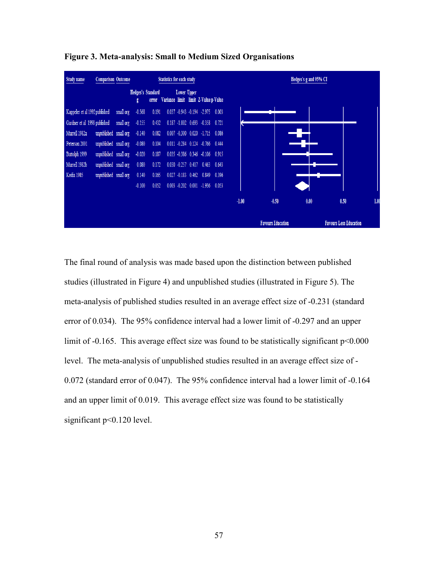

**Figure 3. Meta-analysis: Small to Medium Sized Organisations** 

The final round of analysis was made based upon the distinction between published studies (illustrated in Figure 4) and unpublished studies (illustrated in Figure 5). The meta-analysis of published studies resulted in an average effect size of -0.231 (standard error of 0.034). The 95% confidence interval had a lower limit of -0.297 and an upper limit of -0.165. This average effect size was found to be statistically significant  $p<0.000$ level. The meta-analysis of unpublished studies resulted in an average effect size of - 0.072 (standard error of 0.047). The 95% confidence interval had a lower limit of -0.164 and an upper limit of 0.019. This average effect size was found to be statistically significant p<0.120 level.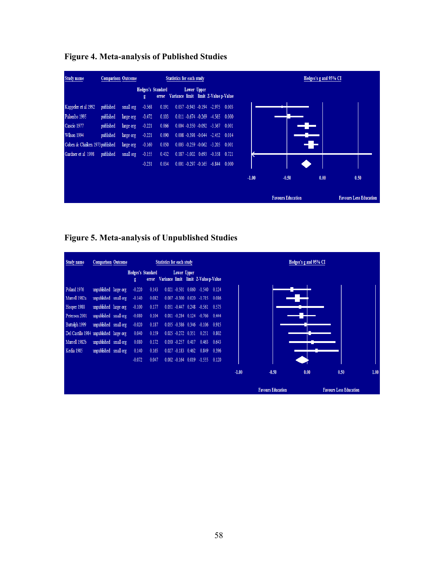| <b>Study name</b>              | <b>Comparison Outcome</b> |           |                               |       | <b>Statistics for each study</b> |             |                                       | Hedges's g and 95% CI |                          |      |                               |  |
|--------------------------------|---------------------------|-----------|-------------------------------|-------|----------------------------------|-------------|---------------------------------------|-----------------------|--------------------------|------|-------------------------------|--|
|                                |                           |           | <b>Hedges's Standard</b><br>g | error |                                  | Lower Upper | Variance limit limit Z-Value p-Value  |                       |                          |      |                               |  |
| Kappeler et al 1992            | published                 | small org | $-0.568$                      | 0.191 |                                  |             | $0.037 - 0.943 - 0.194 - 2.975$ 0.003 |                       |                          |      |                               |  |
| Palombo 1995                   | published                 | large org | $-0.472$                      | 0.103 |                                  |             | $0.011 - 0.674 - 0.269 - 4.565 0.000$ |                       |                          |      |                               |  |
| Cascio 1977                    | published                 | large org | $-0.221$                      | 0.066 |                                  |             | $0.004 -0.350 -0.092 -3.367 0.001$    |                       |                          |      |                               |  |
| Wilson 1994                    | published                 | large org | $-0.221$                      | 0.090 |                                  |             | $0.008 - 0.398 - 0.044 - 2.452$ 0.014 |                       |                          |      |                               |  |
| Cohen & Chaiken 1973 published |                           | large org | $-0.160$                      | 0.050 |                                  |             | $0.003 -0.259 -0.062 -3.205 0.001$    |                       |                          | W    |                               |  |
| Gardner et al 1998             | published                 | small org | $-0.155$                      | 0.432 |                                  |             | 0.187 -1.002 0.693 -0.358 0.721       |                       |                          |      |                               |  |
|                                |                           |           | $-0.231$                      | 0.034 |                                  |             | $0.001 - 0.297 - 0.165 - 6.844 0.000$ |                       |                          |      |                               |  |
|                                |                           |           |                               |       |                                  |             |                                       | $-1.00$               | $-0.50$                  | 0.00 | 0.50                          |  |
|                                |                           |           |                               |       |                                  |             |                                       |                       | <b>Favours Education</b> |      | <b>Favours Less Education</b> |  |

**Figure 4. Meta-analysis of Published Studies** 

**Figure 5. Meta-analysis of Unpublished Studies** 

| Study name                              | <b>Comparison Outcome</b> |                               |       | Statistics for each study           |             |                       |                                         | Hedges's g and 95% CI |         |                          |      |                               |  |  |  |
|-----------------------------------------|---------------------------|-------------------------------|-------|-------------------------------------|-------------|-----------------------|-----------------------------------------|-----------------------|---------|--------------------------|------|-------------------------------|--|--|--|
|                                         |                           | <b>Hedges's Standard</b><br>g | error | Variance limit limit Z-Valuep-Value | Lower Upper |                       |                                         |                       |         |                          |      |                               |  |  |  |
| Poland 1976                             | unpublished large org     | $-0.220$                      | 0.143 |                                     |             |                       | $0.021 - 0.501$ $0.060 - 1.540$ $0.124$ |                       |         |                          |      |                               |  |  |  |
| Murrell 1982a                           | unpublished small org     | $-0.140$                      | 0.082 |                                     |             |                       | $0.007 -0.300$ $0.020 -1.715$ 0.086     |                       |         |                          |      |                               |  |  |  |
| Hooper 1988                             | unpublished large org     | $-0.100$                      | 0.177 |                                     |             |                       | 0.031 -0.447 0.248 -0.561 0.575         |                       |         |                          |      |                               |  |  |  |
| Peterson 2001                           | unpublished small org     | $-0.080$                      | 0.104 |                                     |             |                       | $0.011 - 0.284$ $0.124 - 0.766$         | 0.444                 |         |                          |      |                               |  |  |  |
| Buttolph 1999                           | unpublished small org     | $-0.020$                      | 0.187 |                                     |             |                       | 0.035 -0.386 0.346 -0.106 0.915         |                       |         |                          |      |                               |  |  |  |
| Del Castillo 1984 unpublished large org |                           | 0.040                         | 0.159 |                                     |             |                       | 0.025 -0.272 0.351 0.251 0.802          |                       |         |                          |      |                               |  |  |  |
| Murrell 1982b                           | unpublished small org     | 0.080                         | 0.172 |                                     |             | $0.030 -0.257 0.417$  | 0.463                                   | 0.643                 |         |                          |      |                               |  |  |  |
| Kedia 1985                              | unpublished small org     | 0.140                         | 0.165 |                                     |             | $0.027 - 0.183$ 0.462 | 0.849                                   | 0.396                 |         |                          |      |                               |  |  |  |
|                                         |                           | $-0.072$                      | 0.047 |                                     |             |                       | $0.002 -0.164$ $0.019 -1.555$ 0.120     |                       |         |                          |      |                               |  |  |  |
|                                         |                           |                               |       |                                     |             |                       |                                         |                       | $-1.00$ | $-0.50$                  | 0.00 | 0.50                          |  |  |  |
|                                         |                           |                               |       |                                     |             |                       |                                         |                       |         | <b>Favours Education</b> |      | <b>Favours Less Education</b> |  |  |  |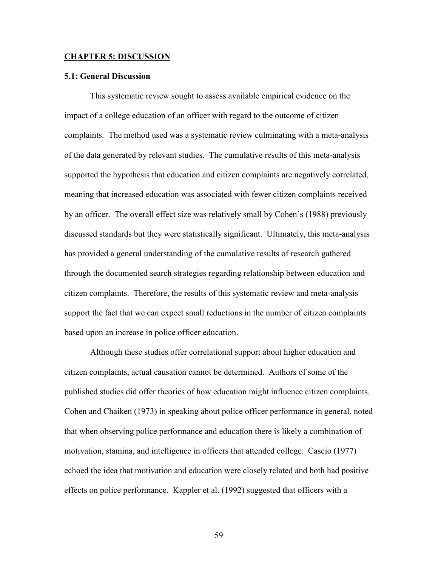#### **CHAPTER 5: DISCUSSION**

### **5.1: General Discussion**

This systematic review sought to assess available empirical evidence on the impact of a college education of an officer with regard to the outcome of citizen complaints. The method used was a systematic review culminating with a meta-analysis of the data generated by relevant studies. The cumulative results of this meta-analysis supported the hypothesis that education and citizen complaints are negatively correlated, meaning that increased education was associated with fewer citizen complaints received by an officer. The overall effect size was relatively small by Cohen's (1988) previously discussed standards but they were statistically significant. Ultimately, this meta-analysis has provided a general understanding of the cumulative results of research gathered through the documented search strategies regarding relationship between education and citizen complaints. Therefore, the results of this systematic review and meta-analysis support the fact that we can expect small reductions in the number of citizen complaints based upon an increase in police officer education.

Although these studies offer correlational support about higher education and citizen complaints, actual causation cannot be determined. Authors of some of the published studies did offer theories of how education might influence citizen complaints. Cohen and Chaiken (1973) in speaking about police officer performance in general, noted that when observing police performance and education there is likely a combination of motivation, stamina, and intelligence in officers that attended college. Cascio (1977) echoed the idea that motivation and education were closely related and both had positive effects on police performance. Kappler et al. (1992) suggested that officers with a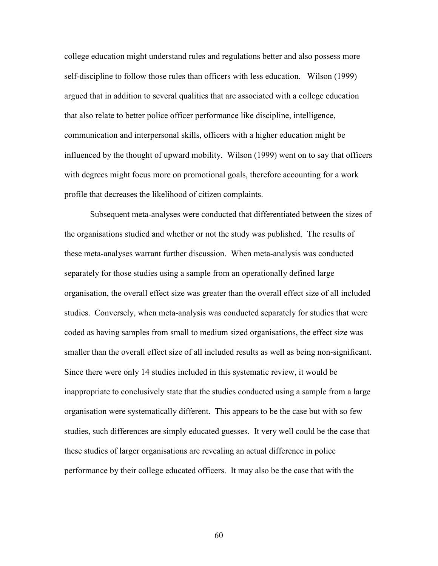college education might understand rules and regulations better and also possess more self-discipline to follow those rules than officers with less education. Wilson (1999) argued that in addition to several qualities that are associated with a college education that also relate to better police officer performance like discipline, intelligence, communication and interpersonal skills, officers with a higher education might be influenced by the thought of upward mobility. Wilson (1999) went on to say that officers with degrees might focus more on promotional goals, therefore accounting for a work profile that decreases the likelihood of citizen complaints.

Subsequent meta-analyses were conducted that differentiated between the sizes of the organisations studied and whether or not the study was published. The results of these meta-analyses warrant further discussion. When meta-analysis was conducted separately for those studies using a sample from an operationally defined large organisation, the overall effect size was greater than the overall effect size of all included studies. Conversely, when meta-analysis was conducted separately for studies that were coded as having samples from small to medium sized organisations, the effect size was smaller than the overall effect size of all included results as well as being non-significant. Since there were only 14 studies included in this systematic review, it would be inappropriate to conclusively state that the studies conducted using a sample from a large organisation were systematically different. This appears to be the case but with so few studies, such differences are simply educated guesses. It very well could be the case that these studies of larger organisations are revealing an actual difference in police performance by their college educated officers. It may also be the case that with the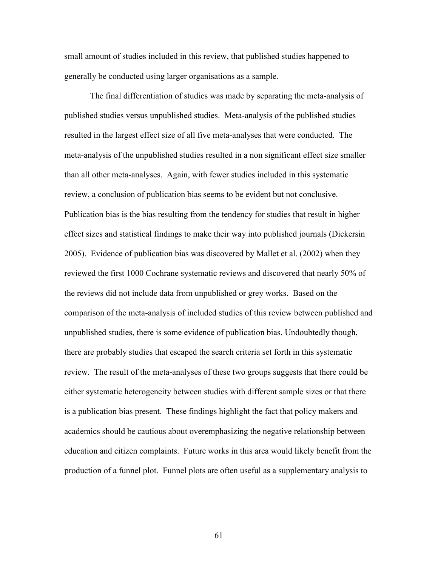small amount of studies included in this review, that published studies happened to generally be conducted using larger organisations as a sample.

The final differentiation of studies was made by separating the meta-analysis of published studies versus unpublished studies. Meta-analysis of the published studies resulted in the largest effect size of all five meta-analyses that were conducted. The meta-analysis of the unpublished studies resulted in a non significant effect size smaller than all other meta-analyses. Again, with fewer studies included in this systematic review, a conclusion of publication bias seems to be evident but not conclusive. Publication bias is the bias resulting from the tendency for studies that result in higher effect sizes and statistical findings to make their way into published journals (Dickersin 2005). Evidence of publication bias was discovered by Mallet et al. (2002) when they reviewed the first 1000 Cochrane systematic reviews and discovered that nearly 50% of the reviews did not include data from unpublished or grey works. Based on the comparison of the meta-analysis of included studies of this review between published and unpublished studies, there is some evidence of publication bias. Undoubtedly though, there are probably studies that escaped the search criteria set forth in this systematic review. The result of the meta-analyses of these two groups suggests that there could be either systematic heterogeneity between studies with different sample sizes or that there is a publication bias present. These findings highlight the fact that policy makers and academics should be cautious about overemphasizing the negative relationship between education and citizen complaints. Future works in this area would likely benefit from the production of a funnel plot. Funnel plots are often useful as a supplementary analysis to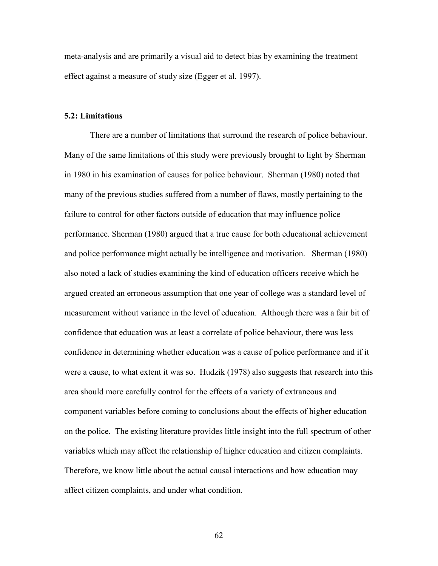meta-analysis and are primarily a visual aid to detect bias by examining the treatment effect against a measure of study size (Egger et al. 1997).

### **5.2: Limitations**

There are a number of limitations that surround the research of police behaviour. Many of the same limitations of this study were previously brought to light by Sherman in 1980 in his examination of causes for police behaviour. Sherman (1980) noted that many of the previous studies suffered from a number of flaws, mostly pertaining to the failure to control for other factors outside of education that may influence police performance. Sherman (1980) argued that a true cause for both educational achievement and police performance might actually be intelligence and motivation. Sherman (1980) also noted a lack of studies examining the kind of education officers receive which he argued created an erroneous assumption that one year of college was a standard level of measurement without variance in the level of education. Although there was a fair bit of confidence that education was at least a correlate of police behaviour, there was less confidence in determining whether education was a cause of police performance and if it were a cause, to what extent it was so. Hudzik (1978) also suggests that research into this area should more carefully control for the effects of a variety of extraneous and component variables before coming to conclusions about the effects of higher education on the police. The existing literature provides little insight into the full spectrum of other variables which may affect the relationship of higher education and citizen complaints. Therefore, we know little about the actual causal interactions and how education may affect citizen complaints, and under what condition.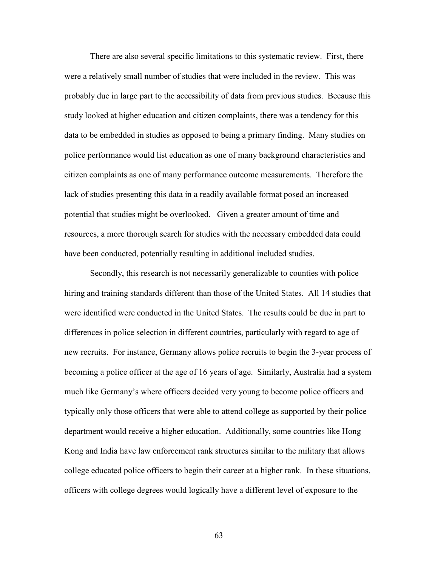There are also several specific limitations to this systematic review. First, there were a relatively small number of studies that were included in the review. This was probably due in large part to the accessibility of data from previous studies. Because this study looked at higher education and citizen complaints, there was a tendency for this data to be embedded in studies as opposed to being a primary finding. Many studies on police performance would list education as one of many background characteristics and citizen complaints as one of many performance outcome measurements. Therefore the lack of studies presenting this data in a readily available format posed an increased potential that studies might be overlooked. Given a greater amount of time and resources, a more thorough search for studies with the necessary embedded data could have been conducted, potentially resulting in additional included studies.

Secondly, this research is not necessarily generalizable to counties with police hiring and training standards different than those of the United States. All 14 studies that were identified were conducted in the United States. The results could be due in part to differences in police selection in different countries, particularly with regard to age of new recruits. For instance, Germany allows police recruits to begin the 3-year process of becoming a police officer at the age of 16 years of age. Similarly, Australia had a system much like Germany's where officers decided very young to become police officers and typically only those officers that were able to attend college as supported by their police department would receive a higher education. Additionally, some countries like Hong Kong and India have law enforcement rank structures similar to the military that allows college educated police officers to begin their career at a higher rank. In these situations, officers with college degrees would logically have a different level of exposure to the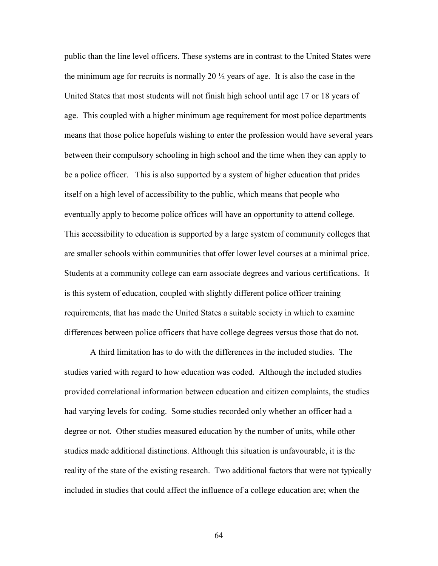public than the line level officers. These systems are in contrast to the United States were the minimum age for recruits is normally 20  $\frac{1}{2}$  years of age. It is also the case in the United States that most students will not finish high school until age 17 or 18 years of age. This coupled with a higher minimum age requirement for most police departments means that those police hopefuls wishing to enter the profession would have several years between their compulsory schooling in high school and the time when they can apply to be a police officer. This is also supported by a system of higher education that prides itself on a high level of accessibility to the public, which means that people who eventually apply to become police offices will have an opportunity to attend college. This accessibility to education is supported by a large system of community colleges that are smaller schools within communities that offer lower level courses at a minimal price. Students at a community college can earn associate degrees and various certifications. It is this system of education, coupled with slightly different police officer training requirements, that has made the United States a suitable society in which to examine differences between police officers that have college degrees versus those that do not.

 A third limitation has to do with the differences in the included studies. The studies varied with regard to how education was coded. Although the included studies provided correlational information between education and citizen complaints, the studies had varying levels for coding. Some studies recorded only whether an officer had a degree or not. Other studies measured education by the number of units, while other studies made additional distinctions. Although this situation is unfavourable, it is the reality of the state of the existing research. Two additional factors that were not typically included in studies that could affect the influence of a college education are; when the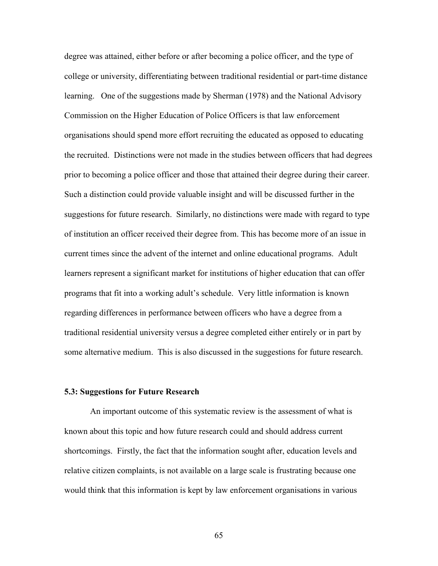degree was attained, either before or after becoming a police officer, and the type of college or university, differentiating between traditional residential or part-time distance learning. One of the suggestions made by Sherman (1978) and the National Advisory Commission on the Higher Education of Police Officers is that law enforcement organisations should spend more effort recruiting the educated as opposed to educating the recruited. Distinctions were not made in the studies between officers that had degrees prior to becoming a police officer and those that attained their degree during their career. Such a distinction could provide valuable insight and will be discussed further in the suggestions for future research. Similarly, no distinctions were made with regard to type of institution an officer received their degree from. This has become more of an issue in current times since the advent of the internet and online educational programs. Adult learners represent a significant market for institutions of higher education that can offer programs that fit into a working adult's schedule. Very little information is known regarding differences in performance between officers who have a degree from a traditional residential university versus a degree completed either entirely or in part by some alternative medium. This is also discussed in the suggestions for future research.

### **5.3: Suggestions for Future Research**

 An important outcome of this systematic review is the assessment of what is known about this topic and how future research could and should address current shortcomings. Firstly, the fact that the information sought after, education levels and relative citizen complaints, is not available on a large scale is frustrating because one would think that this information is kept by law enforcement organisations in various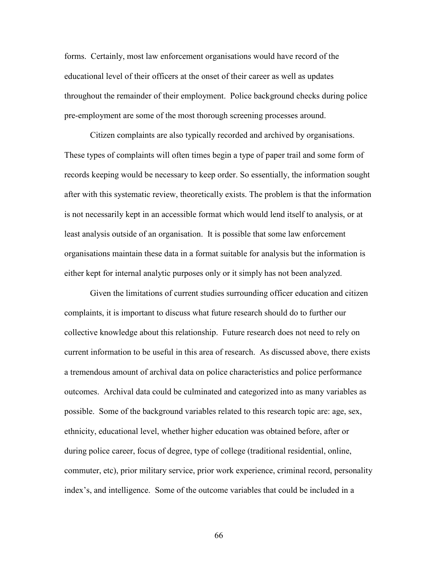forms. Certainly, most law enforcement organisations would have record of the educational level of their officers at the onset of their career as well as updates throughout the remainder of their employment. Police background checks during police pre-employment are some of the most thorough screening processes around.

Citizen complaints are also typically recorded and archived by organisations. These types of complaints will often times begin a type of paper trail and some form of records keeping would be necessary to keep order. So essentially, the information sought after with this systematic review, theoretically exists. The problem is that the information is not necessarily kept in an accessible format which would lend itself to analysis, or at least analysis outside of an organisation. It is possible that some law enforcement organisations maintain these data in a format suitable for analysis but the information is either kept for internal analytic purposes only or it simply has not been analyzed.

Given the limitations of current studies surrounding officer education and citizen complaints, it is important to discuss what future research should do to further our collective knowledge about this relationship. Future research does not need to rely on current information to be useful in this area of research. As discussed above, there exists a tremendous amount of archival data on police characteristics and police performance outcomes. Archival data could be culminated and categorized into as many variables as possible. Some of the background variables related to this research topic are: age, sex, ethnicity, educational level, whether higher education was obtained before, after or during police career, focus of degree, type of college (traditional residential, online, commuter, etc), prior military service, prior work experience, criminal record, personality index's, and intelligence. Some of the outcome variables that could be included in a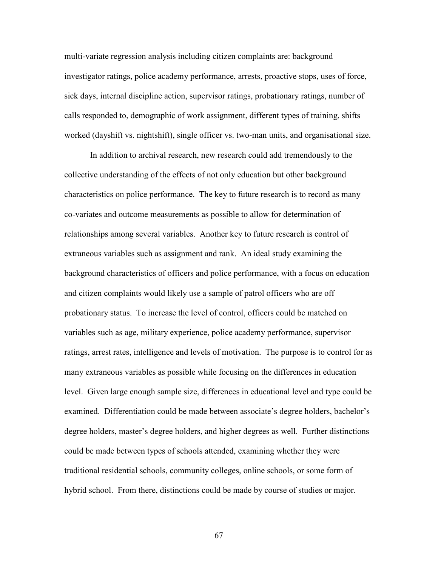multi-variate regression analysis including citizen complaints are: background investigator ratings, police academy performance, arrests, proactive stops, uses of force, sick days, internal discipline action, supervisor ratings, probationary ratings, number of calls responded to, demographic of work assignment, different types of training, shifts worked (dayshift vs. nightshift), single officer vs. two-man units, and organisational size.

 In addition to archival research, new research could add tremendously to the collective understanding of the effects of not only education but other background characteristics on police performance. The key to future research is to record as many co-variates and outcome measurements as possible to allow for determination of relationships among several variables. Another key to future research is control of extraneous variables such as assignment and rank. An ideal study examining the background characteristics of officers and police performance, with a focus on education and citizen complaints would likely use a sample of patrol officers who are off probationary status. To increase the level of control, officers could be matched on variables such as age, military experience, police academy performance, supervisor ratings, arrest rates, intelligence and levels of motivation. The purpose is to control for as many extraneous variables as possible while focusing on the differences in education level. Given large enough sample size, differences in educational level and type could be examined. Differentiation could be made between associate's degree holders, bachelor's degree holders, master's degree holders, and higher degrees as well. Further distinctions could be made between types of schools attended, examining whether they were traditional residential schools, community colleges, online schools, or some form of hybrid school. From there, distinctions could be made by course of studies or major.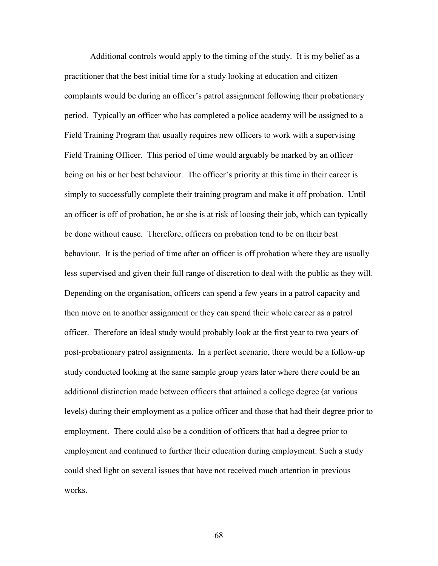Additional controls would apply to the timing of the study. It is my belief as a practitioner that the best initial time for a study looking at education and citizen complaints would be during an officer's patrol assignment following their probationary period. Typically an officer who has completed a police academy will be assigned to a Field Training Program that usually requires new officers to work with a supervising Field Training Officer. This period of time would arguably be marked by an officer being on his or her best behaviour. The officer's priority at this time in their career is simply to successfully complete their training program and make it off probation. Until an officer is off of probation, he or she is at risk of loosing their job, which can typically be done without cause. Therefore, officers on probation tend to be on their best behaviour. It is the period of time after an officer is off probation where they are usually less supervised and given their full range of discretion to deal with the public as they will. Depending on the organisation, officers can spend a few years in a patrol capacity and then move on to another assignment or they can spend their whole career as a patrol officer. Therefore an ideal study would probably look at the first year to two years of post-probationary patrol assignments. In a perfect scenario, there would be a follow-up study conducted looking at the same sample group years later where there could be an additional distinction made between officers that attained a college degree (at various levels) during their employment as a police officer and those that had their degree prior to employment. There could also be a condition of officers that had a degree prior to employment and continued to further their education during employment. Such a study could shed light on several issues that have not received much attention in previous works.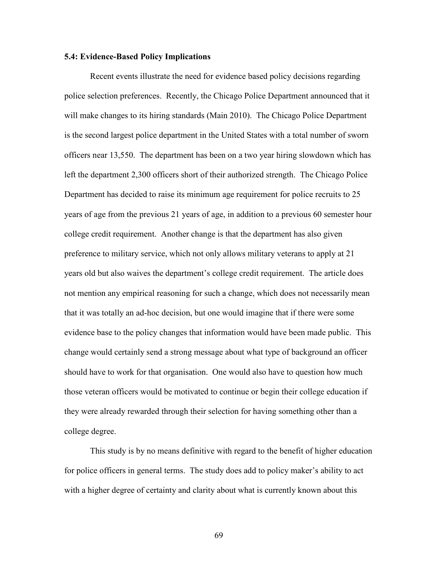### **5.4: Evidence-Based Policy Implications**

 Recent events illustrate the need for evidence based policy decisions regarding police selection preferences. Recently, the Chicago Police Department announced that it will make changes to its hiring standards (Main 2010). The Chicago Police Department is the second largest police department in the United States with a total number of sworn officers near 13,550. The department has been on a two year hiring slowdown which has left the department 2,300 officers short of their authorized strength. The Chicago Police Department has decided to raise its minimum age requirement for police recruits to 25 years of age from the previous 21 years of age, in addition to a previous 60 semester hour college credit requirement. Another change is that the department has also given preference to military service, which not only allows military veterans to apply at 21 years old but also waives the department's college credit requirement. The article does not mention any empirical reasoning for such a change, which does not necessarily mean that it was totally an ad-hoc decision, but one would imagine that if there were some evidence base to the policy changes that information would have been made public. This change would certainly send a strong message about what type of background an officer should have to work for that organisation. One would also have to question how much those veteran officers would be motivated to continue or begin their college education if they were already rewarded through their selection for having something other than a college degree.

 This study is by no means definitive with regard to the benefit of higher education for police officers in general terms. The study does add to policy maker's ability to act with a higher degree of certainty and clarity about what is currently known about this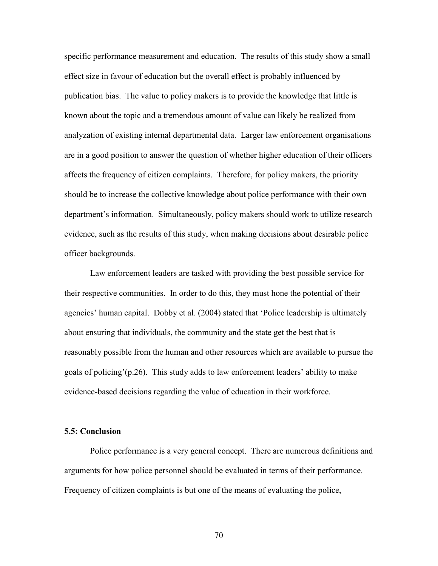specific performance measurement and education. The results of this study show a small effect size in favour of education but the overall effect is probably influenced by publication bias. The value to policy makers is to provide the knowledge that little is known about the topic and a tremendous amount of value can likely be realized from analyzation of existing internal departmental data. Larger law enforcement organisations are in a good position to answer the question of whether higher education of their officers affects the frequency of citizen complaints. Therefore, for policy makers, the priority should be to increase the collective knowledge about police performance with their own department's information. Simultaneously, policy makers should work to utilize research evidence, such as the results of this study, when making decisions about desirable police officer backgrounds.

 Law enforcement leaders are tasked with providing the best possible service for their respective communities. In order to do this, they must hone the potential of their agencies' human capital. Dobby et al. (2004) stated that 'Police leadership is ultimately about ensuring that individuals, the community and the state get the best that is reasonably possible from the human and other resources which are available to pursue the goals of policing'(p.26). This study adds to law enforcement leaders' ability to make evidence-based decisions regarding the value of education in their workforce.

### **5.5: Conclusion**

Police performance is a very general concept. There are numerous definitions and arguments for how police personnel should be evaluated in terms of their performance. Frequency of citizen complaints is but one of the means of evaluating the police,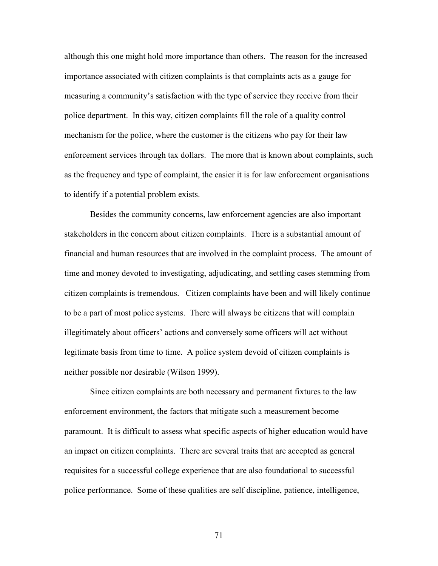although this one might hold more importance than others. The reason for the increased importance associated with citizen complaints is that complaints acts as a gauge for measuring a community's satisfaction with the type of service they receive from their police department. In this way, citizen complaints fill the role of a quality control mechanism for the police, where the customer is the citizens who pay for their law enforcement services through tax dollars. The more that is known about complaints, such as the frequency and type of complaint, the easier it is for law enforcement organisations to identify if a potential problem exists.

Besides the community concerns, law enforcement agencies are also important stakeholders in the concern about citizen complaints. There is a substantial amount of financial and human resources that are involved in the complaint process. The amount of time and money devoted to investigating, adjudicating, and settling cases stemming from citizen complaints is tremendous. Citizen complaints have been and will likely continue to be a part of most police systems. There will always be citizens that will complain illegitimately about officers' actions and conversely some officers will act without legitimate basis from time to time. A police system devoid of citizen complaints is neither possible nor desirable (Wilson 1999).

Since citizen complaints are both necessary and permanent fixtures to the law enforcement environment, the factors that mitigate such a measurement become paramount. It is difficult to assess what specific aspects of higher education would have an impact on citizen complaints. There are several traits that are accepted as general requisites for a successful college experience that are also foundational to successful police performance. Some of these qualities are self discipline, patience, intelligence,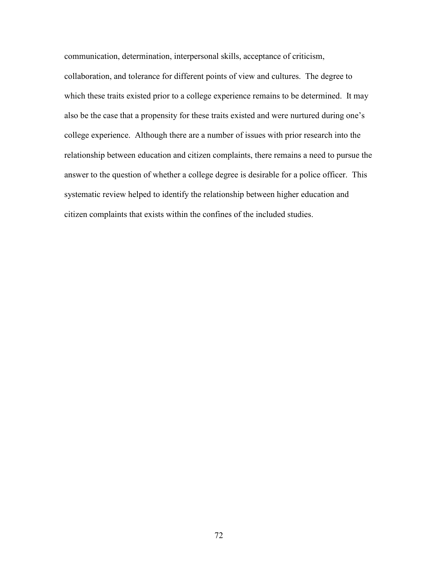communication, determination, interpersonal skills, acceptance of criticism, collaboration, and tolerance for different points of view and cultures. The degree to which these traits existed prior to a college experience remains to be determined. It may also be the case that a propensity for these traits existed and were nurtured during one's college experience. Although there are a number of issues with prior research into the relationship between education and citizen complaints, there remains a need to pursue the answer to the question of whether a college degree is desirable for a police officer. This systematic review helped to identify the relationship between higher education and citizen complaints that exists within the confines of the included studies.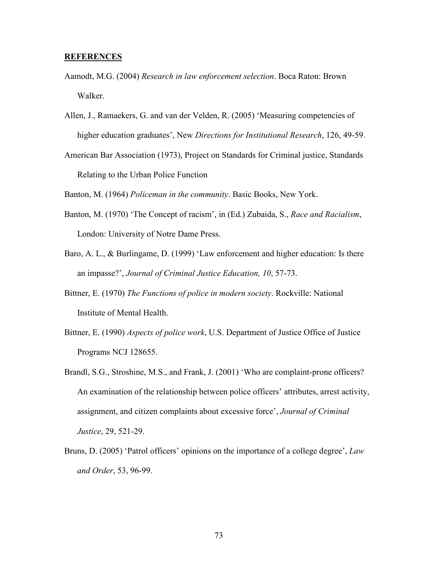## **REFERENCES**

- Aamodt, M.G. (2004) *Research in law enforcement selection*. Boca Raton: Brown Walker.
- Allen, J., Ramaekers, G. and van der Velden, R. (2005) 'Measuring competencies of higher education graduates', New *Directions for Institutional Research*, 126, 49-59.
- American Bar Association (1973), Project on Standards for Criminal justice, Standards Relating to the Urban Police Function

Banton, M. (1964) *Policeman in the community*. Basic Books, New York.

- Banton, M. (1970) 'The Concept of racism', in (Ed.) Zubaida, S., *Race and Racialism*, London: University of Notre Dame Press.
- Baro, A. L., & Burlingame, D. (1999) 'Law enforcement and higher education: Is there an impasse?', *Journal of Criminal Justice Education, 10*, 57-73.
- Bittner, E. (1970) *The Functions of police in modern society*. Rockville: National Institute of Mental Health.
- Bittner, E. (1990) *Aspects of police work*, U.S. Department of Justice Office of Justice Programs NCJ 128655.
- Brandl, S.G., Stroshine, M.S., and Frank, J. (2001) 'Who are complaint-prone officers? An examination of the relationship between police officers' attributes, arrest activity, assignment, and citizen complaints about excessive force', *Journal of Criminal Justice*, 29, 521-29.
- Bruns, D. (2005) 'Patrol officers' opinions on the importance of a college degree', *Law and Order*, 53, 96-99.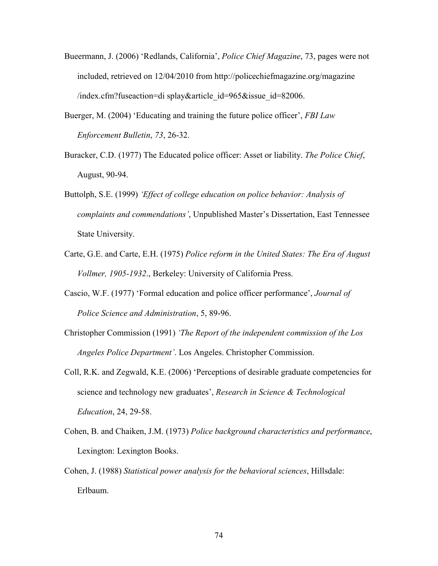- Bueermann, J. (2006) 'Redlands, California', *Police Chief Magazine*, 73, pages were not included, retrieved on 12/04/2010 from http://policechiefmagazine.org/magazine /index.cfm?fuseaction=di splay&article\_id=965&issue\_id=82006.
- Buerger, M. (2004) 'Educating and training the future police officer', *FBI Law Enforcement Bulletin*, *73*, 26-32.
- Buracker, C.D. (1977) The Educated police officer: Asset or liability. *The Police Chief*, August, 90-94.
- Buttolph, S.E. (1999) *'Effect of college education on police behavior: Analysis of complaints and commendations'*, Unpublished Master's Dissertation, East Tennessee State University.
- Carte, G.E. and Carte, E.H. (1975) *Police reform in the United States: The Era of August Vollmer, 1905-1932*., Berkeley: University of California Press.
- Cascio, W.F. (1977) 'Formal education and police officer performance', *Journal of Police Science and Administration*, 5, 89-96.
- Christopher Commission (1991) *'The Report of the independent commission of the Los Angeles Police Department'*. Los Angeles. Christopher Commission.
- Coll, R.K. and Zegwald, K.E. (2006) 'Perceptions of desirable graduate competencies for science and technology new graduates', *Research in Science & Technological Education*, 24, 29-58.
- Cohen, B. and Chaiken, J.M. (1973) *Police background characteristics and performance*, Lexington: Lexington Books.
- Cohen, J. (1988) *Statistical power analysis for the behavioral sciences*, Hillsdale: Erlbaum.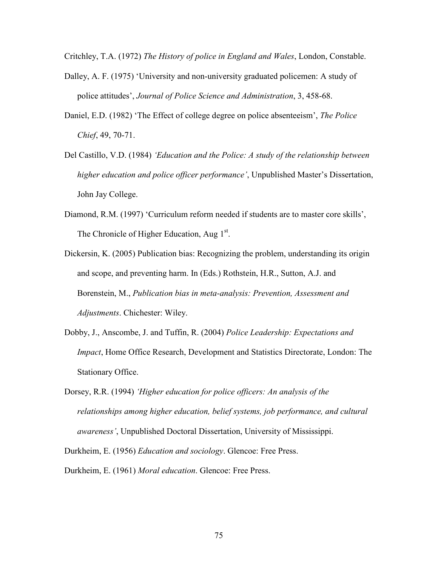Critchley, T.A. (1972) *The History of police in England and Wales*, London, Constable.

- Dalley, A. F. (1975) 'University and non-university graduated policemen: A study of police attitudes', *Journal of Police Science and Administration*, 3, 458-68.
- Daniel, E.D. (1982) 'The Effect of college degree on police absenteeism', *The Police Chief*, 49, 70-71.
- Del Castillo, V.D. (1984) *'Education and the Police: A study of the relationship between higher education and police officer performance'*, Unpublished Master's Dissertation, John Jay College.
- Diamond, R.M. (1997) 'Curriculum reform needed if students are to master core skills', The Chronicle of Higher Education, Aug 1<sup>st</sup>.
- Dickersin, K. (2005) Publication bias: Recognizing the problem, understanding its origin and scope, and preventing harm. In (Eds.) Rothstein, H.R., Sutton, A.J. and Borenstein, M., *Publication bias in meta-analysis: Prevention, Assessment and Adjustments*. Chichester: Wiley.
- Dobby, J., Anscombe, J. and Tuffin, R. (2004) *Police Leadership: Expectations and Impact*, Home Office Research, Development and Statistics Directorate, London: The Stationary Office.
- Dorsey, R.R. (1994) *'Higher education for police officers: An analysis of the relationships among higher education, belief systems, job performance, and cultural awareness'*, Unpublished Doctoral Dissertation, University of Mississippi.
- Durkheim, E. (1956) *Education and sociology*. Glencoe: Free Press.
- Durkheim, E. (1961) *Moral education*. Glencoe: Free Press.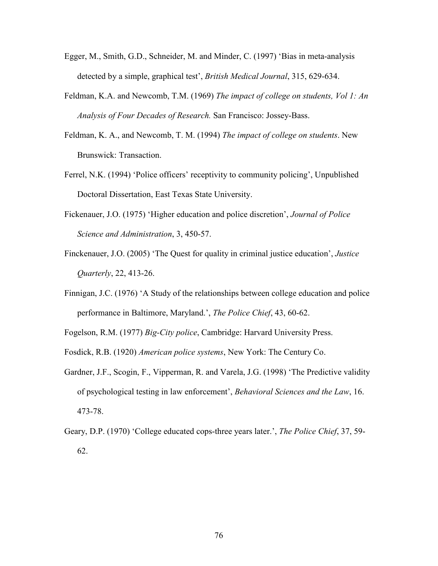- Egger, M., Smith, G.D., Schneider, M. and Minder, C. (1997) 'Bias in meta-analysis detected by a simple, graphical test', *British Medical Journal*, 315, 629-634.
- Feldman, K.A. and Newcomb, T.M. (1969) *The impact of college on students, Vol 1: An Analysis of Four Decades of Research.* San Francisco: Jossey-Bass.
- Feldman, K. A., and Newcomb, T. M. (1994) *The impact of college on students*. New Brunswick: Transaction.
- Ferrel, N.K. (1994) 'Police officers' receptivity to community policing', Unpublished Doctoral Dissertation, East Texas State University.
- Fickenauer, J.O. (1975) 'Higher education and police discretion', *Journal of Police Science and Administration*, 3, 450-57.
- Finckenauer, J.O. (2005) 'The Quest for quality in criminal justice education', *Justice Quarterly*, 22, 413-26.
- Finnigan, J.C. (1976) 'A Study of the relationships between college education and police performance in Baltimore, Maryland.', *The Police Chief*, 43, 60-62.
- Fogelson, R.M. (1977) *Big-City police*, Cambridge: Harvard University Press.
- Fosdick, R.B. (1920) *American police systems*, New York: The Century Co.
- Gardner, J.F., Scogin, F., Vipperman, R. and Varela, J.G. (1998) 'The Predictive validity of psychological testing in law enforcement', *Behavioral Sciences and the Law*, 16. 473-78.
- Geary, D.P. (1970) 'College educated cops-three years later.', *The Police Chief*, 37, 59- 62.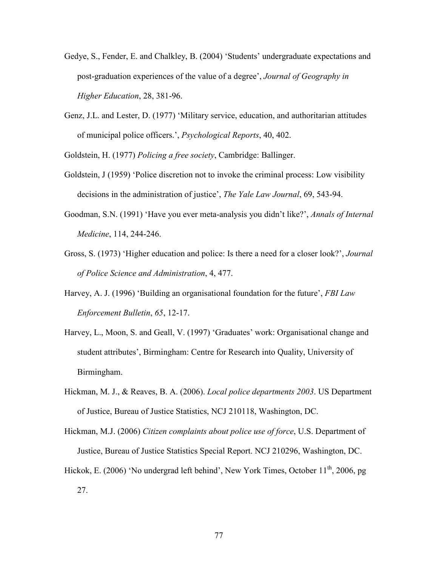- Gedye, S., Fender, E. and Chalkley, B. (2004) 'Students' undergraduate expectations and post-graduation experiences of the value of a degree', *Journal of Geography in Higher Education*, 28, 381-96.
- Genz, J.L. and Lester, D. (1977) 'Military service, education, and authoritarian attitudes of municipal police officers.', *Psychological Reports*, 40, 402.

Goldstein, H. (1977) *Policing a free society*, Cambridge: Ballinger.

- Goldstein, J (1959) 'Police discretion not to invoke the criminal process: Low visibility decisions in the administration of justice', *The Yale Law Journal*, 69, 543-94.
- Goodman, S.N. (1991) 'Have you ever meta-analysis you didn't like?', *Annals of Internal Medicine*, 114, 244-246.
- Gross, S. (1973) 'Higher education and police: Is there a need for a closer look?', *Journal of Police Science and Administration*, 4, 477.
- Harvey, A. J. (1996) 'Building an organisational foundation for the future', *FBI Law Enforcement Bulletin*, *65*, 12-17.
- Harvey, L., Moon, S. and Geall, V. (1997) 'Graduates' work: Organisational change and student attributes', Birmingham: Centre for Research into Quality, University of Birmingham.
- Hickman, M. J., & Reaves, B. A. (2006). *Local police departments 2003*. US Department of Justice, Bureau of Justice Statistics, NCJ 210118, Washington, DC.
- Hickman, M.J. (2006) *Citizen complaints about police use of force*, U.S. Department of Justice, Bureau of Justice Statistics Special Report. NCJ 210296, Washington, DC.
- Hickok, E. (2006) 'No undergrad left behind', New York Times, October 11<sup>th</sup>, 2006, pg 27.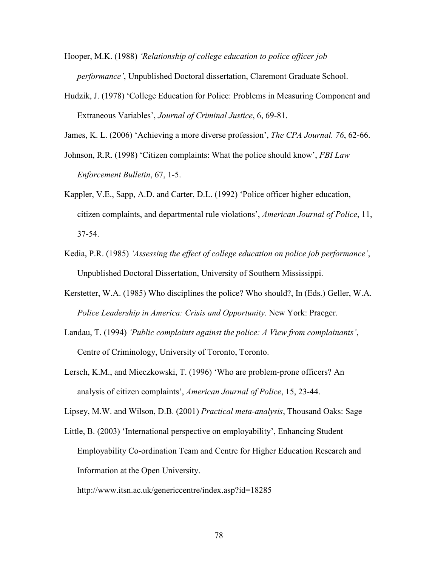- Hooper, M.K. (1988) *'Relationship of college education to police officer job performance'*, Unpublished Doctoral dissertation, Claremont Graduate School.
- Hudzik, J. (1978) 'College Education for Police: Problems in Measuring Component and Extraneous Variables', *Journal of Criminal Justice*, 6, 69-81.

James, K. L. (2006) 'Achieving a more diverse profession', *The CPA Journal. 76*, 62-66.

- Johnson, R.R. (1998) 'Citizen complaints: What the police should know', *FBI Law Enforcement Bulletin*, 67, 1-5.
- Kappler, V.E., Sapp, A.D. and Carter, D.L. (1992) 'Police officer higher education, citizen complaints, and departmental rule violations', *American Journal of Police*, 11, 37-54.
- Kedia, P.R. (1985) *'Assessing the effect of college education on police job performance'*, Unpublished Doctoral Dissertation, University of Southern Mississippi.
- Kerstetter, W.A. (1985) Who disciplines the police? Who should?, In (Eds.) Geller, W.A. *Police Leadership in America: Crisis and Opportunity*. New York: Praeger.
- Landau, T. (1994) *'Public complaints against the police: A View from complainants'*, Centre of Criminology, University of Toronto, Toronto.
- Lersch, K.M., and Mieczkowski, T. (1996) 'Who are problem-prone officers? An analysis of citizen complaints', *American Journal of Police*, 15, 23-44.

Lipsey, M.W. and Wilson, D.B. (2001) *Practical meta-analysis*, Thousand Oaks: Sage

Little, B. (2003) 'International perspective on employability', Enhancing Student Employability Co-ordination Team and Centre for Higher Education Research and Information at the Open University.

http://www.itsn.ac.uk/genericcentre/index.asp?id=18285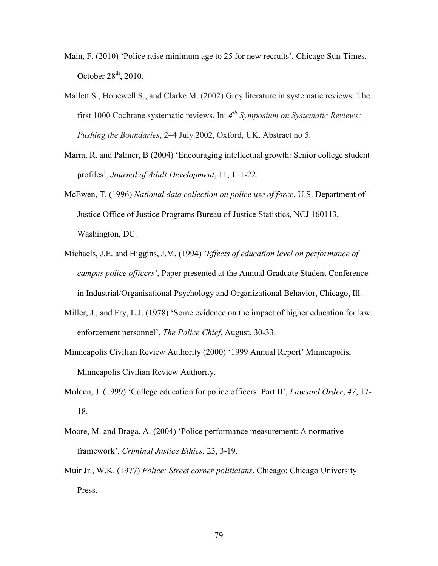- Main, F. (2010) 'Police raise minimum age to 25 for new recruits', Chicago Sun-Times, October  $28<sup>th</sup>$ , 2010.
- Mallett S., Hopewell S., and Clarke M. (2002) Grey literature in systematic reviews: The first 1000 Cochrane systematic reviews. In: *4 th Symposium on Systematic Reviews: Pushing the Boundaries*, 2–4 July 2002, Oxford, UK. Abstract no 5.
- Marra, R. and Palmer, B (2004) 'Encouraging intellectual growth: Senior college student profiles', *Journal of Adult Development*, 11, 111-22.
- McEwen, T. (1996) *National data collection on police use of force*, U.S. Department of Justice Office of Justice Programs Bureau of Justice Statistics, NCJ 160113, Washington, DC.
- Michaels, J.E. and Higgins, J.M. (1994) *'Effects of education level on performance of campus police officers'*, Paper presented at the Annual Graduate Student Conference in Industrial/Organisational Psychology and Organizational Behavior, Chicago, Ill.
- Miller, J., and Fry, L.J. (1978) 'Some evidence on the impact of higher education for law enforcement personnel', *The Police Chief*, August, 30-33.
- Minneapolis Civilian Review Authority (2000) '1999 Annual Report' Minneapolis, Minneapolis Civilian Review Authority.
- Molden, J. (1999) 'College education for police officers: Part II', *Law and Order*, *47*, 17- 18.
- Moore, M. and Braga, A. (2004) 'Police performance measurement: A normative framework', *Criminal Justice Ethics*, 23, 3-19.
- Muir Jr., W.K. (1977) *Police: Street corner politicians*, Chicago: Chicago University Press.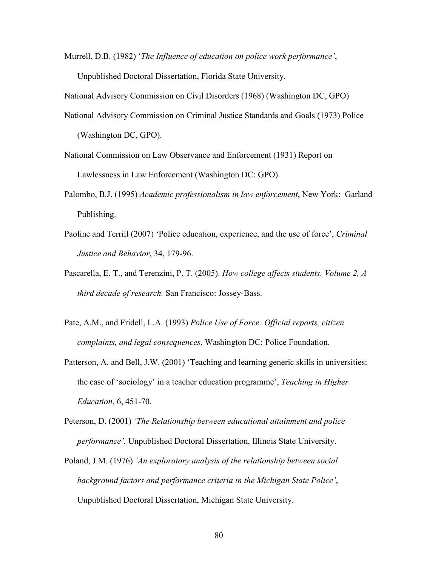Murrell, D.B. (1982) '*The Influence of education on police work performance'*, Unpublished Doctoral Dissertation, Florida State University.

National Advisory Commission on Civil Disorders (1968) (Washington DC, GPO)

National Advisory Commission on Criminal Justice Standards and Goals (1973) Police (Washington DC, GPO).

National Commission on Law Observance and Enforcement (1931) Report on Lawlessness in Law Enforcement (Washington DC: GPO).

- Palombo, B.J. (1995) *Academic professionalism in law enforcement*, New York: Garland Publishing.
- Paoline and Terrill (2007) 'Police education, experience, and the use of force', *Criminal Justice and Behavior*, 34, 179-96.
- Pascarella, E. T., and Terenzini, P. T. (2005). *How college affects students. Volume 2, A third decade of research.* San Francisco: Jossey-Bass.
- Pate, A.M., and Fridell, L.A. (1993) *Police Use of Force: Official reports, citizen complaints, and legal consequences*, Washington DC: Police Foundation.
- Patterson, A. and Bell, J.W. (2001) 'Teaching and learning generic skills in universities: the case of 'sociology' in a teacher education programme', *Teaching in Higher Education*, 6, 451-70.
- Peterson, D. (2001) *'The Relationship between educational attainment and police performance'*, Unpublished Doctoral Dissertation, Illinois State University.
- Poland, J.M. (1976) *'An exploratory analysis of the relationship between social background factors and performance criteria in the Michigan State Police'*, Unpublished Doctoral Dissertation, Michigan State University.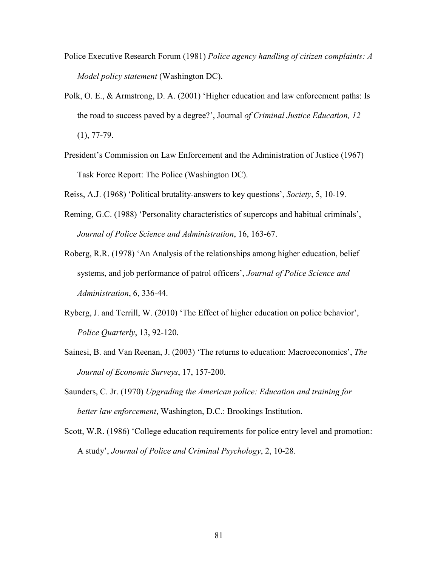- Police Executive Research Forum (1981) *Police agency handling of citizen complaints: A Model policy statement* (Washington DC).
- Polk, O. E., & Armstrong, D. A. (2001) 'Higher education and law enforcement paths: Is the road to success paved by a degree?', Journal *of Criminal Justice Education, 12*  $(1), 77-79.$
- President's Commission on Law Enforcement and the Administration of Justice (1967) Task Force Report: The Police (Washington DC).
- Reiss, A.J. (1968) 'Political brutality-answers to key questions', *Society*, 5, 10-19.
- Reming, G.C. (1988) 'Personality characteristics of supercops and habitual criminals', *Journal of Police Science and Administration*, 16, 163-67.
- Roberg, R.R. (1978) 'An Analysis of the relationships among higher education, belief systems, and job performance of patrol officers', *Journal of Police Science and Administration*, 6, 336-44.
- Ryberg, J. and Terrill, W. (2010) 'The Effect of higher education on police behavior', *Police Quarterly*, 13, 92-120.
- Sainesi, B. and Van Reenan, J. (2003) 'The returns to education: Macroeconomics', *The Journal of Economic Surveys*, 17, 157-200.
- Saunders, C. Jr. (1970) *Upgrading the American police: Education and training for better law enforcement*, Washington, D.C.: Brookings Institution.
- Scott, W.R. (1986) 'College education requirements for police entry level and promotion: A study', *Journal of Police and Criminal Psychology*, 2, 10-28.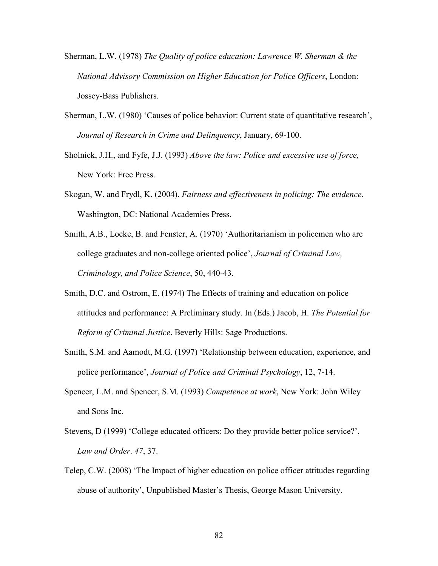- Sherman, L.W. (1978) *The Quality of police education: Lawrence W. Sherman & the National Advisory Commission on Higher Education for Police Officers*, London: Jossey-Bass Publishers.
- Sherman, L.W. (1980) 'Causes of police behavior: Current state of quantitative research', *Journal of Research in Crime and Delinquency*, January, 69-100.
- Sholnick, J.H., and Fyfe, J.J. (1993) *Above the law: Police and excessive use of force,* New York: Free Press.
- Skogan, W. and Frydl, K. (2004). *Fairness and effectiveness in policing: The evidence*. Washington, DC: National Academies Press.
- Smith, A.B., Locke, B. and Fenster, A. (1970) 'Authoritarianism in policemen who are college graduates and non-college oriented police', *Journal of Criminal Law, Criminology, and Police Science*, 50, 440-43.
- Smith, D.C. and Ostrom, E. (1974) The Effects of training and education on police attitudes and performance: A Preliminary study. In (Eds.) Jacob, H. *The Potential for Reform of Criminal Justice*. Beverly Hills: Sage Productions.
- Smith, S.M. and Aamodt, M.G. (1997) 'Relationship between education, experience, and police performance', *Journal of Police and Criminal Psychology*, 12, 7-14.
- Spencer, L.M. and Spencer, S.M. (1993) *Competence at work*, New York: John Wiley and Sons Inc.
- Stevens, D (1999) 'College educated officers: Do they provide better police service?', *Law and Order*. *47*, 37.
- Telep, C.W. (2008) 'The Impact of higher education on police officer attitudes regarding abuse of authority', Unpublished Master's Thesis, George Mason University.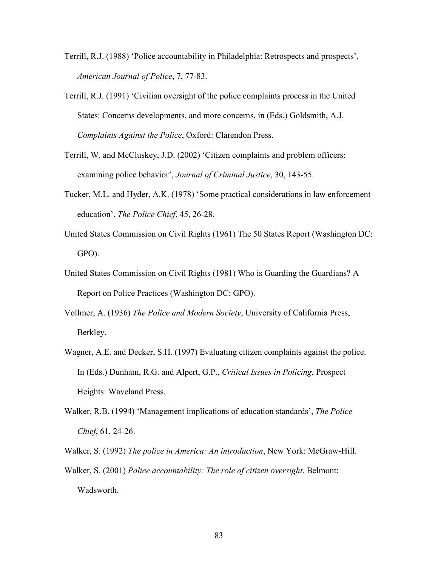- Terrill, R.J. (1988) 'Police accountability in Philadelphia: Retrospects and prospects', *American Journal of Police*, 7, 77-83.
- Terrill, R.J. (1991) 'Civilian oversight of the police complaints process in the United States: Concerns developments, and more concerns, in (Eds.) Goldsmith, A.J. *Complaints Against the Police*, Oxford: Clarendon Press.
- Terrill, W. and McCluskey, J.D. (2002) 'Citizen complaints and problem officers: examining police behavior', *Journal of Criminal Justice*, 30, 143-55.
- Tucker, M.L. and Hyder, A.K. (1978) 'Some practical considerations in law enforcement education'. *The Police Chief*, 45, 26-28.
- United States Commission on Civil Rights (1961) The 50 States Report (Washington DC: GPO).
- United States Commission on Civil Rights (1981) Who is Guarding the Guardians? A Report on Police Practices (Washington DC: GPO).
- Vollmer, A. (1936) *The Police and Modern Society*, University of California Press, Berkley.
- Wagner, A.E. and Decker, S.H. (1997) Evaluating citizen complaints against the police. In (Eds.) Dunham, R.G. and Alpert, G.P., *Critical Issues in Policing*, Prospect Heights: Waveland Press.
- Walker, R.B. (1994) 'Management implications of education standards', *The Police Chief*, 61, 24-26.
- Walker, S. (1992) *The police in America: An introduction*, New York: McGraw-Hill. Walker, S. (2001) *Police accountability: The role of citizen oversight*. Belmont: Wadsworth.